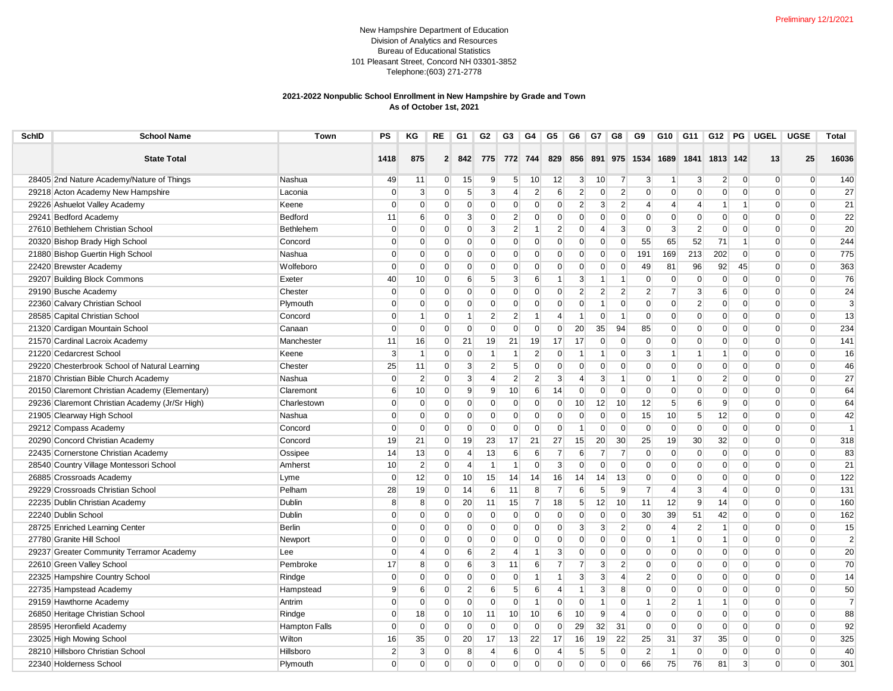## New Hampshire Department of Education Division of Analytics and Resources Bureau of Educational Statistics 101 Pleasant Street, Concord NH 03301-3852 Telephone:(603) 271-2778

## **2021-2022 Nonpublic School Enrollment in New Hampshire by Grade and Town As of October 1st, 2021**

| 16036<br><b>State Total</b><br>875<br>775<br>772 744<br>829<br>856 891 975 1534 1689<br>1841<br>1813 142<br>13<br>25<br>1418<br>$\mathbf{2}$<br>842<br>28405 2nd Nature Academy/Nature of Things<br>$\overline{9}$<br>10 <sup>1</sup><br>12<br>3 <sup>1</sup><br>10<br>$\overline{2}$<br>$\overline{0}$<br>140<br>Nashua<br>49<br>11<br>$\overline{0}$<br>15<br>5 <sup>5</sup><br>$\overline{7}$<br>3<br>3<br>$\overline{0}$<br>$\overline{0}$<br>$\mathbf 1$<br>$\mathbf{3}$<br>3<br>$\overline{2}$<br>$\overline{2}$<br>$\overline{2}$<br>$\overline{0}$<br>$\overline{0}$<br>27<br>29218 Acton Academy New Hampshire<br>Laconia<br>0<br>$\overline{0}$<br>$5\overline{)}$<br>4<br>6<br>$\mathbf{0}$<br>$\mathbf{0}$<br>$\mathbf 0$<br>$\overline{0}$<br>$\overline{0}$<br>$\mathbf{0}$<br>$\mathbf{2}$<br>$\overline{2}$<br>21<br>29226 Ashuelot Valley Academy<br>Keene<br>$\mathbf 0$<br>$\mathbf{0}$<br>$\overline{0}$<br>$\mathbf{0}$<br>$\mathbf 0$<br>0<br>$\overline{0}$<br>$\mathbf 0$<br>3<br>$\overline{4}$<br>$\overline{0}$<br>$\Omega$<br>$\overline{4}$<br>$\overline{4}$<br>1<br>-1<br>22<br>2<br>$\overline{0}$<br>29241 Bedford Academy<br><b>Bedford</b><br>11<br>6<br>$\overline{0}$<br>3<br>$\mathbf 0$<br>$\overline{0}$<br>$\mathbf 0$<br>$\mathbf 0$<br>$\mathbf{0}$<br>$\mathbf{0}$<br>$\mathbf 0$<br>$\overline{0}$<br>$\overline{0}$<br>$\overline{0}$<br>$\Omega$<br>$\overline{0}$<br>$\overline{2}$<br>$\overline{2}$<br>$\mathbf{3}$<br>$\overline{2}$<br>$\Omega$<br>$\mathbf{3}$<br>$\mathbf{3}$<br>$\Omega$<br>20<br>27610 Bethlehem Christian School<br><b>Bethlehem</b><br>$\Omega$<br>$\overline{0}$<br>$\Omega$<br>$\Omega$<br>$\Omega$<br>$\Omega$<br>$\Omega$<br>$\Omega$<br>-1<br>4<br>$\overline{0}$<br>$\Omega$<br>$\overline{0}$<br>71<br>244<br>20320 Bishop Brady High School<br>Concord<br>$\Omega$<br>$\overline{0}$<br>$\overline{0}$<br>$\overline{0}$<br>$\Omega$<br>$\overline{0}$<br>$\overline{0}$<br>$\overline{0}$<br>55<br>65<br>52<br>$\Omega$<br>$\overline{0}$<br>1<br>$\Omega$<br>202<br>775<br>21880 Bishop Guertin High School<br>Nashua<br>$\Omega$<br>$\overline{0}$<br>$\Omega$<br>$\mathbf{0}$<br>$\overline{0}$<br>$\Omega$<br>$\overline{0}$<br>$\overline{0}$<br>$\overline{0}$<br>191<br>169<br>213<br>$\Omega$<br>$\Omega$<br>$\Omega$<br>$\Omega$<br>22420 Brewster Academy<br>$\overline{0}$<br>$\overline{0}$<br>$\overline{0}$<br>$\overline{0}$<br>$\mathbf{0}$<br>$\overline{0}$<br>$\overline{0}$<br>$\overline{0}$<br>$\overline{0}$<br>$\overline{0}$<br>81<br>96<br>92<br>45<br>$\overline{0}$<br>363<br>Wolfeboro<br>$\mathbf 0$<br>49<br>$\overline{0}$<br>76<br>29207 Building Block Commons<br>Exeter<br>3<br>$\mathbf 0$<br>$\overline{0}$<br>$\mathbf 0$<br>$\overline{0}$<br>$\Omega$<br>40<br>10 <sup>1</sup><br>$\overline{0}$<br>6<br>$5\overline{)}$<br>6<br>3<br>$\mathbf{0}$<br>$\overline{0}$<br>1<br>1<br>$\mathbf 1$<br>29190 Busche Academy<br>Chester<br>$\Omega$<br>$\mathbf{0}$<br>$\Omega$<br>$\overline{0}$<br>$\mathbf{0}$<br>$\overline{2}$<br>$\overline{2}$<br>$\overline{2}$<br>$\overline{7}$<br>$\mathbf{3}$<br>$\overline{0}$<br>$\Omega$<br>24<br>$\mathbf 0$<br>$\mathbf{0}$<br>$\overline{0}$<br>$\overline{2}$<br>6<br>$\Omega$<br>22360 Calvary Christian School<br>$\mathbf 0$<br>$\overline{0}$<br>$\overline{2}$<br>3<br>Plymouth<br>$\mathbf 0$<br>$\overline{0}$<br>$\Omega$<br>$\overline{0}$<br>$\mathbf 0$<br>$\overline{0}$<br>$\mathbf{0}$<br>$\overline{0}$<br>$\mathbf{0}$<br>$\mathbf 0$<br>$\overline{0}$<br>$\overline{0}$<br>$\overline{0}$<br>$\Omega$<br>1<br>$\overline{2}$<br>$\overline{2}$<br>13<br>28585 Capital Christian School<br>$\overline{0}$<br>$\overline{0}$<br>$\Omega$<br>$\mathbf{0}$<br>$\overline{0}$<br>$\overline{0}$<br>$\overline{0}$<br>$\mathbf{0}$<br>$\overline{0}$<br>Concord<br>$\Omega$<br>$\mathbf{1}$<br>$\mathbf{1}$<br>$\mathbf{1}$<br>4<br>$\mathbf{1}$<br>$\mathbf{1}$<br>$\mathbf 0$<br>234<br>21320 Cardigan Mountain School<br>$\overline{0}$<br>$\overline{0}$<br>$\overline{0}$<br>$\mathbf{0}$<br>$\overline{0}$<br>$\mathbf{0}$<br>20<br>35<br>94<br>$\mathbf{0}$<br>$\overline{0}$<br>$\overline{0}$<br>$\overline{0}$<br>$\overline{0}$<br>Canaan<br>$\mathbf 0$<br>85<br>$\overline{0}$<br>21<br>21<br>$\Omega$<br>$\Omega$<br>$\overline{0}$<br>$\Omega$<br>21570 Cardinal Lacroix Academy<br>Manchester<br>11<br>16<br>$\overline{0}$<br>19<br>19<br>17<br>17<br>$\Omega$<br>$\Omega$<br>$\Omega$<br>$\Omega$<br>$\Omega$<br>141<br>21220 Cedarcrest School<br>$\mathbf{3}$<br>$\mathbf{1}$<br>$\overline{0}$<br>$\overline{0}$<br>$\mathbf{1}$<br>2 <sup>1</sup><br>$\mathbf{0}$<br>$\overline{0}$<br>3<br>$\overline{0}$<br>$\overline{0}$<br>16<br>Keene<br>-1<br>$\mathbf{1}$<br>1<br>$\mathbf 1$<br>-1<br>$\Omega$<br>-1<br>$\overline{2}$<br>29220 Chesterbrook School of Natural Learning<br>Chester<br>25<br>11<br>$\overline{0}$<br>3<br>5<br>$\overline{0}$<br>$\Omega$<br>$\overline{0}$<br>$\overline{0}$<br>$\overline{0}$<br>$\Omega$<br>$\overline{0}$<br>$\overline{0}$<br>$\overline{0}$<br>$\Omega$<br>46<br>$\Omega$<br>$\Omega$<br>21870 Christian Bible Church Academy<br>$\overline{2}$<br>3<br>$\overline{2}$<br>$\overline{2}$<br>3 <sup>1</sup><br>$\overline{4}$<br>$\overline{0}$<br>$\overline{2}$<br>$\Omega$<br>$\Omega$<br>27<br>Nashua<br>$\mathbf 0$<br>$\overline{0}$<br>4<br>3<br>$\mathbf{0}$<br>$\Omega$<br>-1<br>$\mathbf 1$<br>64<br>20150 Claremont Christian Academy (Elementary)<br>10<br>9<br>$\overline{9}$<br>10<br>$6 \overline{6}$<br>$\overline{0}$<br>$\mathbf 0$<br>$\Omega$<br>Claremont<br>6<br>$\Omega$<br>14<br>$\overline{0}$<br>$\mathbf{0}$<br>$\Omega$<br>$\overline{0}$<br>$\Omega$<br>$\Omega$<br>$\Omega$<br>29236 Claremont Christian Academy (Jr/Sr High)<br>$\mathbf{0}$<br>$\mathbf{0}$<br>$\overline{0}$<br>10<br>12<br>12<br>$6 \overline{6}$<br>9<br>$\Omega$<br>$\Omega$<br>64<br>Charlestown<br>$\Omega$<br>$\overline{0}$<br>$\Omega$<br>$\Omega$<br>$\overline{0}$<br>10 <sup>1</sup><br>5<br>$\Omega$<br>21905 Clearway High School<br>$\overline{0}$<br>$\mathbf{0}$<br>$\Omega$<br>$\overline{0}$<br>$\mathbf{0}$<br>$\overline{0}$<br>$\overline{0}$<br>12<br>$\overline{0}$<br>$\overline{0}$<br>42<br>Nashua<br>$\Omega$<br>$\Omega$<br>$\mathbf{0}$<br>$\Omega$<br>15<br>10<br>5 <sup>5</sup><br>$\overline{0}$<br>$\overline{0}$<br>$\mathbf{0}$<br>$\mathbf 0$<br>$\overline{0}$<br>$\mathbf{0}$<br>$\overline{0}$<br>$\Omega$<br>$\Omega$<br>$\overline{0}$<br>$\overline{0}$<br>$\overline{0}$<br>$\Omega$<br>$\overline{1}$<br>29212 Compass Academy<br>Concord<br>$\Omega$<br>$\mathbf 0$<br>$\overline{0}$<br>$\mathbf{1}$<br>$\Omega$<br>$\Omega$<br>20290 Concord Christian Academy<br>21<br>19<br>23<br>21<br>27<br>15<br>20<br>30 <sup>°</sup><br>25<br>19<br>30<br>32<br>$\overline{0}$<br>318<br>Concord<br>19<br>$\overline{0}$<br>17<br>$\overline{0}$<br>$\overline{0}$<br>22435 Cornerstone Christian Academy<br>83<br>Ossipee<br>14<br>13<br>$\mathbf 0$<br>$\overline{4}$<br>13<br>6<br>6<br>7<br>6<br>7<br>7<br>$\mathbf{0}$<br>$\mathbf 0$<br>$\overline{0}$<br>$\overline{0}$<br>$\overline{0}$<br>$\overline{0}$<br>$\Omega$<br>28540 Country Village Montessori School<br>$\mathbf{2}$<br>3 <sup>1</sup><br>21<br>Amherst<br>10<br>$\overline{0}$<br>$\overline{4}$<br>$\mathbf{1}$<br>$\overline{0}$<br>$\overline{0}$<br>$\mathbf 0$<br>$\overline{0}$<br>$\mathbf{0}$<br>$\mathbf 0$<br>$\overline{0}$<br>$\overline{0}$<br>$\overline{0}$<br>$\Omega$<br>-1<br>$\overline{0}$<br>122<br>26885 Crossroads Academy<br>$\mathbf 0$<br>12<br>10<br>15<br>14<br>14<br>14<br>13<br>$\Omega$<br>$\mathbf{0}$<br>$\overline{0}$<br>$\mathbf 0$<br>$\Omega$<br>$\Omega$<br>Lyme<br>$\overline{0}$<br>14<br>16<br>$\Omega$<br>28<br>$6 \overline{6}$<br>8<br>$\overline{7}$<br>$6 \overline{6}$<br>5<br>$\overline{7}$<br>$\mathbf{3}$<br>$\Omega$<br>131<br>29229 Crossroads Christian School<br>Pelham<br>19<br>$\overline{0}$<br>14<br>11<br>9<br>$\overline{4}$<br>$\overline{4}$<br>$\Omega$<br>$\Omega$<br>22235 Dublin Christian Academy<br>8<br>8<br>$\Omega$<br><b>Dublin</b><br>20<br>15<br>$\overline{7}$<br>18<br>12<br>10<br>11<br>12<br>9<br>$\Omega$<br>160<br>$\Omega$<br>11<br>5 <sup>5</sup><br>14<br>$\Omega$<br>$\mathbf{0}$<br>42<br>162<br>22240 Dublin School<br>Dublin<br>$\Omega$<br>$\overline{0}$<br>$\mathbf 0$<br>$\mathbf{0}$<br>$\overline{0}$<br>$\mathbf{0}$<br>$\overline{0}$<br>$\overline{0}$<br>$\Omega$<br>30<br>39<br>51<br>$\Omega$<br>$\Omega$<br>$\Omega$<br>$\Omega$<br>28725 Enriched Learning Center<br><b>Berlin</b><br>$\overline{0}$<br>$\overline{0}$<br>$\mathbf{0}$<br>$\mathbf 0$<br>$\overline{0}$<br>$\overline{0}$<br>$\mathbf{3}$<br>3<br>$\overline{2}$<br>$\overline{2}$<br>$\overline{0}$<br>$\overline{0}$<br>15<br>$\Omega$<br>$\overline{0}$<br>$\mathbf{0}$<br>$\overline{4}$<br>$\mathbf{1}$<br>$\overline{0}$<br>$\overline{2}$<br>27780 Granite Hill School<br>$\mathbf{0}$<br>$\mathbf{0}$<br>$\overline{0}$<br>$\overline{0}$<br>$\overline{0}$<br>$\overline{0}$<br>$\Omega$<br>$\Omega$<br>$\Omega$<br>$\overline{0}$<br>$\overline{0}$<br>$\Omega$<br>$\Omega$<br>$\mathbf{0}$<br>$\Omega$<br>$\mathbf 1$<br>$\mathbf{1}$<br>$\overline{0}$<br>Newport<br>29237 Greater Community Terramor Academy<br>$\overline{2}$<br>3 <sup>1</sup><br>20<br>Lee<br>$\mathbf 0$<br>$\overline{4}$<br>$\overline{0}$<br>6<br>4<br>$\overline{0}$<br>$\mathbf{0}$<br>$\overline{0}$<br>$\mathbf{0}$<br>$\mathbf 0$<br>$\overline{0}$<br>$\overline{0}$<br>$\overline{0}$<br>$\overline{0}$<br>$\Omega$<br>$\mathbf 1$<br>70<br>22610 Green Valley School<br>3<br>$\overline{7}$<br>$\overline{2}$<br>Pembroke<br>17<br>8<br>$\overline{0}$<br>6<br>11<br>6<br>$\overline{7}$<br>3<br>$\mathbf{0}$<br>$\mathbf 0$<br>$\overline{0}$<br>$\overline{0}$<br>$\Omega$<br>$\Omega$<br>$\Omega$<br>3<br>$\mathbf{0}$<br>3<br>$\overline{4}$<br>$\overline{0}$<br>$\Omega$<br>22325 Hampshire Country School<br>Rindge<br>$\mathbf 0$<br>$\mathbf{0}$<br>$\overline{0}$<br>$\Omega$<br>0<br>$\mathbf{1}$<br>$\overline{2}$<br>$\mathbf 0$<br>$\overline{0}$<br>$\overline{0}$<br>$\Omega$<br>14<br>$\mathbf 1$<br>$\overline{2}$<br>8<br>50<br>22735 Hampstead Academy<br>Hampstead<br><sub>9</sub><br>6<br>6<br>5<br>6<br>3<br>$\Omega$<br>$\mathbf 0$<br>$\Omega$<br>$\overline{0}$<br>$\Omega$<br>$\Omega$<br>$\Omega$<br>4<br>-1<br>$\Omega$<br>$\overline{0}$<br>$\overline{0}$<br>$\overline{0}$<br>$\mathbf{0}$<br>$\overline{0}$<br>$\overline{2}$<br>$\Omega$<br>$\overline{7}$<br>29159 Hawthorne Academy<br>$\Omega$<br>$\Omega$<br>$\overline{1}$<br>$\Omega$<br>$\Omega$<br>$\mathbf{1}$<br>$\mathbf{1}$<br>$\Omega$<br>$\Omega$<br>Antrim<br>1<br>10<br>10 <sup>1</sup><br>10<br>9 <sup>°</sup><br>$\Omega$<br>$\mathbf{0}$<br>$\overline{0}$<br>$\Omega$<br>88<br>26850 Heritage Christian School<br>$\mathbf 0$<br>18<br>$\overline{0}$<br>10 <sup>1</sup><br>11<br>$6 \overline{6}$<br>$\overline{4}$<br>$\overline{0}$<br>$\Omega$<br>$\Omega$<br>Rindge<br>29<br>32<br>92<br>28595 Heronfield Academy<br><b>Hampton Falls</b><br>$\mathbf 0$<br>$\overline{0}$<br>$\overline{0}$<br>$\overline{0}$<br>$\mathbf{0}$<br>$\mathbf{0}$<br>$\overline{0}$<br>$\mathbf{0}$<br>31<br>$\overline{0}$<br>$\mathbf{0}$<br>$\overline{0}$<br>$\overline{0}$<br>$\overline{0}$<br>$\mathbf{0}$<br>$\Omega$<br>23025 High Mowing School<br>Wilton<br>35<br>20<br>13<br>22<br>16<br>19<br>22<br>25<br>35<br>$\overline{0}$<br>$\Omega$<br>325<br>16<br>$\overline{0}$<br>17<br>17<br>31<br>37<br>$\Omega$<br>40<br>28210 Hillsboro Christian School<br>Hillsboro<br>$\overline{2}$<br>$\mathbf{3}$<br>$\overline{0}$<br>$\overline{2}$<br>$\mathbf 0$<br>$\Omega$<br>$\mathbf{0}$<br>8<br>6<br>$\mathbf 0$<br>4<br>5<br>5<br>$\mathbf{1}$<br>$\mathbf 0$<br>$\Omega$<br>$\overline{0}$<br>4<br>22340 Holderness School<br>$\Omega$<br>$\Omega$ | <b>SchID</b> | <b>School Name</b> | Town     | PS       | ΚG             | RE | G1             | G <sub>2</sub> | G3       | G4       | G5       | G6       | G7 | G8       | G9 | G10 | G11 | $G12$ PG |   | <b>UGEL</b> | <b>UGSE</b> | Total |
|-----------------------------------------------------------------------------------------------------------------------------------------------------------------------------------------------------------------------------------------------------------------------------------------------------------------------------------------------------------------------------------------------------------------------------------------------------------------------------------------------------------------------------------------------------------------------------------------------------------------------------------------------------------------------------------------------------------------------------------------------------------------------------------------------------------------------------------------------------------------------------------------------------------------------------------------------------------------------------------------------------------------------------------------------------------------------------------------------------------------------------------------------------------------------------------------------------------------------------------------------------------------------------------------------------------------------------------------------------------------------------------------------------------------------------------------------------------------------------------------------------------------------------------------------------------------------------------------------------------------------------------------------------------------------------------------------------------------------------------------------------------------------------------------------------------------------------------------------------------------------------------------------------------------------------------------------------------------------------------------------------------------------------------------------------------------------------------------------------------------------------------------------------------------------------------------------------------------------------------------------------------------------------------------------------------------------------------------------------------------------------------------------------------------------------------------------------------------------------------------------------------------------------------------------------------------------------------------------------------------------------------------------------------------------------------------------------------------------------------------------------------------------------------------------------------------------------------------------------------------------------------------------------------------------------------------------------------------------------------------------------------------------------------------------------------------------------------------------------------------------------------------------------------------------------------------------------------------------------------------------------------------------------------------------------------------------------------------------------------------------------------------------------------------------------------------------------------------------------------------------------------------------------------------------------------------------------------------------------------------------------------------------------------------------------------------------------------------------------------------------------------------------------------------------------------------------------------------------------------------------------------------------------------------------------------------------------------------------------------------------------------------------------------------------------------------------------------------------------------------------------------------------------------------------------------------------------------------------------------------------------------------------------------------------------------------------------------------------------------------------------------------------------------------------------------------------------------------------------------------------------------------------------------------------------------------------------------------------------------------------------------------------------------------------------------------------------------------------------------------------------------------------------------------------------------------------------------------------------------------------------------------------------------------------------------------------------------------------------------------------------------------------------------------------------------------------------------------------------------------------------------------------------------------------------------------------------------------------------------------------------------------------------------------------------------------------------------------------------------------------------------------------------------------------------------------------------------------------------------------------------------------------------------------------------------------------------------------------------------------------------------------------------------------------------------------------------------------------------------------------------------------------------------------------------------------------------------------------------------------------------------------------------------------------------------------------------------------------------------------------------------------------------------------------------------------------------------------------------------------------------------------------------------------------------------------------------------------------------------------------------------------------------------------------------------------------------------------------------------------------------------------------------------------------------------------------------------------------------------------------------------------------------------------------------------------------------------------------------------------------------------------------------------------------------------------------------------------------------------------------------------------------------------------------------------------------------------------------------------------------------------------------------------------------------------------------------------------------------------------------------------------------------------------------------------------------------------------------------------------------------------------------------------------------------------------------------------------------------------------------------------------------------------------------------------------------------------------------------------------------------------------------------------------------------------------------------------------------------------------------------------------------------------------------------------------------------------------------------------------------------------------------------------------------------------------------------------------------------------------------------------------------------------------------------------------------------------------------------------------------------------------------------------------------------------------------------------------------------------------------------------------------------------------------------------------------------------------------------------------------------------------------------------------------------------------------------------------------------------------------------------------------------------------------------------------------------------------------------------------------------------------------------------------------------------------------------------------------------------------------------------------------------------------------------------------------------------------------------------------------------------------------------------------------------------------------------------------------------------------------------------------------------------------------------------------------------------------------------------------------------------------------------------------------------------------------------------------------------------------------------------------------------------------------------------------------------------------------------------------------------------------------------------------------------------------------------------------------------------------------------------------------------------------------------------------------------------------------------------------------------------------------------------------------------------------------------------------------------------------------------------------------------------------------------------------------------------------------------------------------------------------------------------------------------------------------------------------------------------------------------------------------------------------------------------------------------------------------------------------------------------------------------------------------------------------------------------------------------------------------------------------------------------------------------------------------------------------------------------------------------------------------------------------------------------------------------------------------------------------------------------------------------------------------------------------------------------------------------------------------------------------------------------------------------------------------------------------------------------------------------------------------------------------------------------------------------------------------------------------------------------------------------------------------------------------------------------------------------------------------------------------------------------------------------------------------------------------------------------------------------------------------------------------------------------------------------------------------------------------------------------------------------------------------------------------------------------------------------------------------------------------------------------------------------------------------------------------------------------------------------------------------------------------------------------------------------------------------------------------------------------------------------------------------------------------------------------------------------------------------------------------------------------------------------------------------------------------------------------------------------------------------------------------------------------------------------------------------------------------------------------------------------------------------------------------------------------------------------------------------------------------------------------------------------------------------------------------------------------------------|--------------|--------------------|----------|----------|----------------|----|----------------|----------------|----------|----------|----------|----------|----|----------|----|-----|-----|----------|---|-------------|-------------|-------|
|                                                                                                                                                                                                                                                                                                                                                                                                                                                                                                                                                                                                                                                                                                                                                                                                                                                                                                                                                                                                                                                                                                                                                                                                                                                                                                                                                                                                                                                                                                                                                                                                                                                                                                                                                                                                                                                                                                                                                                                                                                                                                                                                                                                                                                                                                                                                                                                                                                                                                                                                                                                                                                                                                                                                                                                                                                                                                                                                                                                                                                                                                                                                                                                                                                                                                                                                                                                                                                                                                                                                                                                                                                                                                                                                                                                                                                                                                                                                                                                                                                                                                                                                                                                                                                                                                                                                                                                                                                                                                                                                                                                                                                                                                                                                                                                                                                                                                                                                                                                                                                                                                                                                                                                                                                                                                                                                                                                                                                                                                                                                                                                                                                                                                                                                                                                                                                                                                                                                                                                                                                                                                                                                                                                                                                                                                                                                                                                                                                                                                                                                                                                                                                                                                                                                                                                                                                                                                                                                                                                                                                                                                                                                                                                                                                                                                                                                                                                                                                                                                                                                                                                                                                                                                                                                                                                                                                                                                                                                                                                                                                                                                                                                                                                                                                                                                                                                                                                                                                                                                                                                                                                                                                                                                                                                                                                                                                                                                                                                                                                                                                                                                                                                                                                                                                                                                                                                                                                                                                                                                                                                                                                                                                                                                                                                                                                                                                                                                                                                                                                                                                                                                                                                                                                                                                                                                                                                                                                                                                                                                                                                                                                                                                                                                                                                                                                                                                                                                                                                                                                                                                                                                                                                                                                                                                                                                                                                                                                                                                                                                                                                                                                                                                                                                                                                                                                                                                                                                                                                                                                               |              |                    |          |          |                |    |                |                |          |          |          |          |    |          |    |     |     |          |   |             |             |       |
|                                                                                                                                                                                                                                                                                                                                                                                                                                                                                                                                                                                                                                                                                                                                                                                                                                                                                                                                                                                                                                                                                                                                                                                                                                                                                                                                                                                                                                                                                                                                                                                                                                                                                                                                                                                                                                                                                                                                                                                                                                                                                                                                                                                                                                                                                                                                                                                                                                                                                                                                                                                                                                                                                                                                                                                                                                                                                                                                                                                                                                                                                                                                                                                                                                                                                                                                                                                                                                                                                                                                                                                                                                                                                                                                                                                                                                                                                                                                                                                                                                                                                                                                                                                                                                                                                                                                                                                                                                                                                                                                                                                                                                                                                                                                                                                                                                                                                                                                                                                                                                                                                                                                                                                                                                                                                                                                                                                                                                                                                                                                                                                                                                                                                                                                                                                                                                                                                                                                                                                                                                                                                                                                                                                                                                                                                                                                                                                                                                                                                                                                                                                                                                                                                                                                                                                                                                                                                                                                                                                                                                                                                                                                                                                                                                                                                                                                                                                                                                                                                                                                                                                                                                                                                                                                                                                                                                                                                                                                                                                                                                                                                                                                                                                                                                                                                                                                                                                                                                                                                                                                                                                                                                                                                                                                                                                                                                                                                                                                                                                                                                                                                                                                                                                                                                                                                                                                                                                                                                                                                                                                                                                                                                                                                                                                                                                                                                                                                                                                                                                                                                                                                                                                                                                                                                                                                                                                                                                                                                                                                                                                                                                                                                                                                                                                                                                                                                                                                                                                                                                                                                                                                                                                                                                                                                                                                                                                                                                                                                                                                                                                                                                                                                                                                                                                                                                                                                                                                                                                                                                               |              |                    |          |          |                |    |                |                |          |          |          |          |    |          |    |     |     |          |   |             |             |       |
|                                                                                                                                                                                                                                                                                                                                                                                                                                                                                                                                                                                                                                                                                                                                                                                                                                                                                                                                                                                                                                                                                                                                                                                                                                                                                                                                                                                                                                                                                                                                                                                                                                                                                                                                                                                                                                                                                                                                                                                                                                                                                                                                                                                                                                                                                                                                                                                                                                                                                                                                                                                                                                                                                                                                                                                                                                                                                                                                                                                                                                                                                                                                                                                                                                                                                                                                                                                                                                                                                                                                                                                                                                                                                                                                                                                                                                                                                                                                                                                                                                                                                                                                                                                                                                                                                                                                                                                                                                                                                                                                                                                                                                                                                                                                                                                                                                                                                                                                                                                                                                                                                                                                                                                                                                                                                                                                                                                                                                                                                                                                                                                                                                                                                                                                                                                                                                                                                                                                                                                                                                                                                                                                                                                                                                                                                                                                                                                                                                                                                                                                                                                                                                                                                                                                                                                                                                                                                                                                                                                                                                                                                                                                                                                                                                                                                                                                                                                                                                                                                                                                                                                                                                                                                                                                                                                                                                                                                                                                                                                                                                                                                                                                                                                                                                                                                                                                                                                                                                                                                                                                                                                                                                                                                                                                                                                                                                                                                                                                                                                                                                                                                                                                                                                                                                                                                                                                                                                                                                                                                                                                                                                                                                                                                                                                                                                                                                                                                                                                                                                                                                                                                                                                                                                                                                                                                                                                                                                                                                                                                                                                                                                                                                                                                                                                                                                                                                                                                                                                                                                                                                                                                                                                                                                                                                                                                                                                                                                                                                                                                                                                                                                                                                                                                                                                                                                                                                                                                                                                                                                               |              |                    |          |          |                |    |                |                |          |          |          |          |    |          |    |     |     |          |   |             |             |       |
|                                                                                                                                                                                                                                                                                                                                                                                                                                                                                                                                                                                                                                                                                                                                                                                                                                                                                                                                                                                                                                                                                                                                                                                                                                                                                                                                                                                                                                                                                                                                                                                                                                                                                                                                                                                                                                                                                                                                                                                                                                                                                                                                                                                                                                                                                                                                                                                                                                                                                                                                                                                                                                                                                                                                                                                                                                                                                                                                                                                                                                                                                                                                                                                                                                                                                                                                                                                                                                                                                                                                                                                                                                                                                                                                                                                                                                                                                                                                                                                                                                                                                                                                                                                                                                                                                                                                                                                                                                                                                                                                                                                                                                                                                                                                                                                                                                                                                                                                                                                                                                                                                                                                                                                                                                                                                                                                                                                                                                                                                                                                                                                                                                                                                                                                                                                                                                                                                                                                                                                                                                                                                                                                                                                                                                                                                                                                                                                                                                                                                                                                                                                                                                                                                                                                                                                                                                                                                                                                                                                                                                                                                                                                                                                                                                                                                                                                                                                                                                                                                                                                                                                                                                                                                                                                                                                                                                                                                                                                                                                                                                                                                                                                                                                                                                                                                                                                                                                                                                                                                                                                                                                                                                                                                                                                                                                                                                                                                                                                                                                                                                                                                                                                                                                                                                                                                                                                                                                                                                                                                                                                                                                                                                                                                                                                                                                                                                                                                                                                                                                                                                                                                                                                                                                                                                                                                                                                                                                                                                                                                                                                                                                                                                                                                                                                                                                                                                                                                                                                                                                                                                                                                                                                                                                                                                                                                                                                                                                                                                                                                                                                                                                                                                                                                                                                                                                                                                                                                                                                                                                               |              |                    |          |          |                |    |                |                |          |          |          |          |    |          |    |     |     |          |   |             |             |       |
|                                                                                                                                                                                                                                                                                                                                                                                                                                                                                                                                                                                                                                                                                                                                                                                                                                                                                                                                                                                                                                                                                                                                                                                                                                                                                                                                                                                                                                                                                                                                                                                                                                                                                                                                                                                                                                                                                                                                                                                                                                                                                                                                                                                                                                                                                                                                                                                                                                                                                                                                                                                                                                                                                                                                                                                                                                                                                                                                                                                                                                                                                                                                                                                                                                                                                                                                                                                                                                                                                                                                                                                                                                                                                                                                                                                                                                                                                                                                                                                                                                                                                                                                                                                                                                                                                                                                                                                                                                                                                                                                                                                                                                                                                                                                                                                                                                                                                                                                                                                                                                                                                                                                                                                                                                                                                                                                                                                                                                                                                                                                                                                                                                                                                                                                                                                                                                                                                                                                                                                                                                                                                                                                                                                                                                                                                                                                                                                                                                                                                                                                                                                                                                                                                                                                                                                                                                                                                                                                                                                                                                                                                                                                                                                                                                                                                                                                                                                                                                                                                                                                                                                                                                                                                                                                                                                                                                                                                                                                                                                                                                                                                                                                                                                                                                                                                                                                                                                                                                                                                                                                                                                                                                                                                                                                                                                                                                                                                                                                                                                                                                                                                                                                                                                                                                                                                                                                                                                                                                                                                                                                                                                                                                                                                                                                                                                                                                                                                                                                                                                                                                                                                                                                                                                                                                                                                                                                                                                                                                                                                                                                                                                                                                                                                                                                                                                                                                                                                                                                                                                                                                                                                                                                                                                                                                                                                                                                                                                                                                                                                                                                                                                                                                                                                                                                                                                                                                                                                                                                                                                               |              |                    |          |          |                |    |                |                |          |          |          |          |    |          |    |     |     |          |   |             |             |       |
|                                                                                                                                                                                                                                                                                                                                                                                                                                                                                                                                                                                                                                                                                                                                                                                                                                                                                                                                                                                                                                                                                                                                                                                                                                                                                                                                                                                                                                                                                                                                                                                                                                                                                                                                                                                                                                                                                                                                                                                                                                                                                                                                                                                                                                                                                                                                                                                                                                                                                                                                                                                                                                                                                                                                                                                                                                                                                                                                                                                                                                                                                                                                                                                                                                                                                                                                                                                                                                                                                                                                                                                                                                                                                                                                                                                                                                                                                                                                                                                                                                                                                                                                                                                                                                                                                                                                                                                                                                                                                                                                                                                                                                                                                                                                                                                                                                                                                                                                                                                                                                                                                                                                                                                                                                                                                                                                                                                                                                                                                                                                                                                                                                                                                                                                                                                                                                                                                                                                                                                                                                                                                                                                                                                                                                                                                                                                                                                                                                                                                                                                                                                                                                                                                                                                                                                                                                                                                                                                                                                                                                                                                                                                                                                                                                                                                                                                                                                                                                                                                                                                                                                                                                                                                                                                                                                                                                                                                                                                                                                                                                                                                                                                                                                                                                                                                                                                                                                                                                                                                                                                                                                                                                                                                                                                                                                                                                                                                                                                                                                                                                                                                                                                                                                                                                                                                                                                                                                                                                                                                                                                                                                                                                                                                                                                                                                                                                                                                                                                                                                                                                                                                                                                                                                                                                                                                                                                                                                                                                                                                                                                                                                                                                                                                                                                                                                                                                                                                                                                                                                                                                                                                                                                                                                                                                                                                                                                                                                                                                                                                                                                                                                                                                                                                                                                                                                                                                                                                                                                                                                               |              |                    |          |          |                |    |                |                |          |          |          |          |    |          |    |     |     |          |   |             |             |       |
|                                                                                                                                                                                                                                                                                                                                                                                                                                                                                                                                                                                                                                                                                                                                                                                                                                                                                                                                                                                                                                                                                                                                                                                                                                                                                                                                                                                                                                                                                                                                                                                                                                                                                                                                                                                                                                                                                                                                                                                                                                                                                                                                                                                                                                                                                                                                                                                                                                                                                                                                                                                                                                                                                                                                                                                                                                                                                                                                                                                                                                                                                                                                                                                                                                                                                                                                                                                                                                                                                                                                                                                                                                                                                                                                                                                                                                                                                                                                                                                                                                                                                                                                                                                                                                                                                                                                                                                                                                                                                                                                                                                                                                                                                                                                                                                                                                                                                                                                                                                                                                                                                                                                                                                                                                                                                                                                                                                                                                                                                                                                                                                                                                                                                                                                                                                                                                                                                                                                                                                                                                                                                                                                                                                                                                                                                                                                                                                                                                                                                                                                                                                                                                                                                                                                                                                                                                                                                                                                                                                                                                                                                                                                                                                                                                                                                                                                                                                                                                                                                                                                                                                                                                                                                                                                                                                                                                                                                                                                                                                                                                                                                                                                                                                                                                                                                                                                                                                                                                                                                                                                                                                                                                                                                                                                                                                                                                                                                                                                                                                                                                                                                                                                                                                                                                                                                                                                                                                                                                                                                                                                                                                                                                                                                                                                                                                                                                                                                                                                                                                                                                                                                                                                                                                                                                                                                                                                                                                                                                                                                                                                                                                                                                                                                                                                                                                                                                                                                                                                                                                                                                                                                                                                                                                                                                                                                                                                                                                                                                                                                                                                                                                                                                                                                                                                                                                                                                                                                                                                                                                               |              |                    |          |          |                |    |                |                |          |          |          |          |    |          |    |     |     |          |   |             |             |       |
|                                                                                                                                                                                                                                                                                                                                                                                                                                                                                                                                                                                                                                                                                                                                                                                                                                                                                                                                                                                                                                                                                                                                                                                                                                                                                                                                                                                                                                                                                                                                                                                                                                                                                                                                                                                                                                                                                                                                                                                                                                                                                                                                                                                                                                                                                                                                                                                                                                                                                                                                                                                                                                                                                                                                                                                                                                                                                                                                                                                                                                                                                                                                                                                                                                                                                                                                                                                                                                                                                                                                                                                                                                                                                                                                                                                                                                                                                                                                                                                                                                                                                                                                                                                                                                                                                                                                                                                                                                                                                                                                                                                                                                                                                                                                                                                                                                                                                                                                                                                                                                                                                                                                                                                                                                                                                                                                                                                                                                                                                                                                                                                                                                                                                                                                                                                                                                                                                                                                                                                                                                                                                                                                                                                                                                                                                                                                                                                                                                                                                                                                                                                                                                                                                                                                                                                                                                                                                                                                                                                                                                                                                                                                                                                                                                                                                                                                                                                                                                                                                                                                                                                                                                                                                                                                                                                                                                                                                                                                                                                                                                                                                                                                                                                                                                                                                                                                                                                                                                                                                                                                                                                                                                                                                                                                                                                                                                                                                                                                                                                                                                                                                                                                                                                                                                                                                                                                                                                                                                                                                                                                                                                                                                                                                                                                                                                                                                                                                                                                                                                                                                                                                                                                                                                                                                                                                                                                                                                                                                                                                                                                                                                                                                                                                                                                                                                                                                                                                                                                                                                                                                                                                                                                                                                                                                                                                                                                                                                                                                                                                                                                                                                                                                                                                                                                                                                                                                                                                                                                                                                               |              |                    |          |          |                |    |                |                |          |          |          |          |    |          |    |     |     |          |   |             |             |       |
|                                                                                                                                                                                                                                                                                                                                                                                                                                                                                                                                                                                                                                                                                                                                                                                                                                                                                                                                                                                                                                                                                                                                                                                                                                                                                                                                                                                                                                                                                                                                                                                                                                                                                                                                                                                                                                                                                                                                                                                                                                                                                                                                                                                                                                                                                                                                                                                                                                                                                                                                                                                                                                                                                                                                                                                                                                                                                                                                                                                                                                                                                                                                                                                                                                                                                                                                                                                                                                                                                                                                                                                                                                                                                                                                                                                                                                                                                                                                                                                                                                                                                                                                                                                                                                                                                                                                                                                                                                                                                                                                                                                                                                                                                                                                                                                                                                                                                                                                                                                                                                                                                                                                                                                                                                                                                                                                                                                                                                                                                                                                                                                                                                                                                                                                                                                                                                                                                                                                                                                                                                                                                                                                                                                                                                                                                                                                                                                                                                                                                                                                                                                                                                                                                                                                                                                                                                                                                                                                                                                                                                                                                                                                                                                                                                                                                                                                                                                                                                                                                                                                                                                                                                                                                                                                                                                                                                                                                                                                                                                                                                                                                                                                                                                                                                                                                                                                                                                                                                                                                                                                                                                                                                                                                                                                                                                                                                                                                                                                                                                                                                                                                                                                                                                                                                                                                                                                                                                                                                                                                                                                                                                                                                                                                                                                                                                                                                                                                                                                                                                                                                                                                                                                                                                                                                                                                                                                                                                                                                                                                                                                                                                                                                                                                                                                                                                                                                                                                                                                                                                                                                                                                                                                                                                                                                                                                                                                                                                                                                                                                                                                                                                                                                                                                                                                                                                                                                                                                                                                                                                               |              |                    |          |          |                |    |                |                |          |          |          |          |    |          |    |     |     |          |   |             |             |       |
|                                                                                                                                                                                                                                                                                                                                                                                                                                                                                                                                                                                                                                                                                                                                                                                                                                                                                                                                                                                                                                                                                                                                                                                                                                                                                                                                                                                                                                                                                                                                                                                                                                                                                                                                                                                                                                                                                                                                                                                                                                                                                                                                                                                                                                                                                                                                                                                                                                                                                                                                                                                                                                                                                                                                                                                                                                                                                                                                                                                                                                                                                                                                                                                                                                                                                                                                                                                                                                                                                                                                                                                                                                                                                                                                                                                                                                                                                                                                                                                                                                                                                                                                                                                                                                                                                                                                                                                                                                                                                                                                                                                                                                                                                                                                                                                                                                                                                                                                                                                                                                                                                                                                                                                                                                                                                                                                                                                                                                                                                                                                                                                                                                                                                                                                                                                                                                                                                                                                                                                                                                                                                                                                                                                                                                                                                                                                                                                                                                                                                                                                                                                                                                                                                                                                                                                                                                                                                                                                                                                                                                                                                                                                                                                                                                                                                                                                                                                                                                                                                                                                                                                                                                                                                                                                                                                                                                                                                                                                                                                                                                                                                                                                                                                                                                                                                                                                                                                                                                                                                                                                                                                                                                                                                                                                                                                                                                                                                                                                                                                                                                                                                                                                                                                                                                                                                                                                                                                                                                                                                                                                                                                                                                                                                                                                                                                                                                                                                                                                                                                                                                                                                                                                                                                                                                                                                                                                                                                                                                                                                                                                                                                                                                                                                                                                                                                                                                                                                                                                                                                                                                                                                                                                                                                                                                                                                                                                                                                                                                                                                                                                                                                                                                                                                                                                                                                                                                                                                                                                                                                               |              |                    |          |          |                |    |                |                |          |          |          |          |    |          |    |     |     |          |   |             |             |       |
|                                                                                                                                                                                                                                                                                                                                                                                                                                                                                                                                                                                                                                                                                                                                                                                                                                                                                                                                                                                                                                                                                                                                                                                                                                                                                                                                                                                                                                                                                                                                                                                                                                                                                                                                                                                                                                                                                                                                                                                                                                                                                                                                                                                                                                                                                                                                                                                                                                                                                                                                                                                                                                                                                                                                                                                                                                                                                                                                                                                                                                                                                                                                                                                                                                                                                                                                                                                                                                                                                                                                                                                                                                                                                                                                                                                                                                                                                                                                                                                                                                                                                                                                                                                                                                                                                                                                                                                                                                                                                                                                                                                                                                                                                                                                                                                                                                                                                                                                                                                                                                                                                                                                                                                                                                                                                                                                                                                                                                                                                                                                                                                                                                                                                                                                                                                                                                                                                                                                                                                                                                                                                                                                                                                                                                                                                                                                                                                                                                                                                                                                                                                                                                                                                                                                                                                                                                                                                                                                                                                                                                                                                                                                                                                                                                                                                                                                                                                                                                                                                                                                                                                                                                                                                                                                                                                                                                                                                                                                                                                                                                                                                                                                                                                                                                                                                                                                                                                                                                                                                                                                                                                                                                                                                                                                                                                                                                                                                                                                                                                                                                                                                                                                                                                                                                                                                                                                                                                                                                                                                                                                                                                                                                                                                                                                                                                                                                                                                                                                                                                                                                                                                                                                                                                                                                                                                                                                                                                                                                                                                                                                                                                                                                                                                                                                                                                                                                                                                                                                                                                                                                                                                                                                                                                                                                                                                                                                                                                                                                                                                                                                                                                                                                                                                                                                                                                                                                                                                                                                                                                               |              |                    |          |          |                |    |                |                |          |          |          |          |    |          |    |     |     |          |   |             |             |       |
|                                                                                                                                                                                                                                                                                                                                                                                                                                                                                                                                                                                                                                                                                                                                                                                                                                                                                                                                                                                                                                                                                                                                                                                                                                                                                                                                                                                                                                                                                                                                                                                                                                                                                                                                                                                                                                                                                                                                                                                                                                                                                                                                                                                                                                                                                                                                                                                                                                                                                                                                                                                                                                                                                                                                                                                                                                                                                                                                                                                                                                                                                                                                                                                                                                                                                                                                                                                                                                                                                                                                                                                                                                                                                                                                                                                                                                                                                                                                                                                                                                                                                                                                                                                                                                                                                                                                                                                                                                                                                                                                                                                                                                                                                                                                                                                                                                                                                                                                                                                                                                                                                                                                                                                                                                                                                                                                                                                                                                                                                                                                                                                                                                                                                                                                                                                                                                                                                                                                                                                                                                                                                                                                                                                                                                                                                                                                                                                                                                                                                                                                                                                                                                                                                                                                                                                                                                                                                                                                                                                                                                                                                                                                                                                                                                                                                                                                                                                                                                                                                                                                                                                                                                                                                                                                                                                                                                                                                                                                                                                                                                                                                                                                                                                                                                                                                                                                                                                                                                                                                                                                                                                                                                                                                                                                                                                                                                                                                                                                                                                                                                                                                                                                                                                                                                                                                                                                                                                                                                                                                                                                                                                                                                                                                                                                                                                                                                                                                                                                                                                                                                                                                                                                                                                                                                                                                                                                                                                                                                                                                                                                                                                                                                                                                                                                                                                                                                                                                                                                                                                                                                                                                                                                                                                                                                                                                                                                                                                                                                                                                                                                                                                                                                                                                                                                                                                                                                                                                                                                                                                               |              |                    |          |          |                |    |                |                |          |          |          |          |    |          |    |     |     |          |   |             |             |       |
|                                                                                                                                                                                                                                                                                                                                                                                                                                                                                                                                                                                                                                                                                                                                                                                                                                                                                                                                                                                                                                                                                                                                                                                                                                                                                                                                                                                                                                                                                                                                                                                                                                                                                                                                                                                                                                                                                                                                                                                                                                                                                                                                                                                                                                                                                                                                                                                                                                                                                                                                                                                                                                                                                                                                                                                                                                                                                                                                                                                                                                                                                                                                                                                                                                                                                                                                                                                                                                                                                                                                                                                                                                                                                                                                                                                                                                                                                                                                                                                                                                                                                                                                                                                                                                                                                                                                                                                                                                                                                                                                                                                                                                                                                                                                                                                                                                                                                                                                                                                                                                                                                                                                                                                                                                                                                                                                                                                                                                                                                                                                                                                                                                                                                                                                                                                                                                                                                                                                                                                                                                                                                                                                                                                                                                                                                                                                                                                                                                                                                                                                                                                                                                                                                                                                                                                                                                                                                                                                                                                                                                                                                                                                                                                                                                                                                                                                                                                                                                                                                                                                                                                                                                                                                                                                                                                                                                                                                                                                                                                                                                                                                                                                                                                                                                                                                                                                                                                                                                                                                                                                                                                                                                                                                                                                                                                                                                                                                                                                                                                                                                                                                                                                                                                                                                                                                                                                                                                                                                                                                                                                                                                                                                                                                                                                                                                                                                                                                                                                                                                                                                                                                                                                                                                                                                                                                                                                                                                                                                                                                                                                                                                                                                                                                                                                                                                                                                                                                                                                                                                                                                                                                                                                                                                                                                                                                                                                                                                                                                                                                                                                                                                                                                                                                                                                                                                                                                                                                                                                                                                               |              |                    |          |          |                |    |                |                |          |          |          |          |    |          |    |     |     |          |   |             |             |       |
|                                                                                                                                                                                                                                                                                                                                                                                                                                                                                                                                                                                                                                                                                                                                                                                                                                                                                                                                                                                                                                                                                                                                                                                                                                                                                                                                                                                                                                                                                                                                                                                                                                                                                                                                                                                                                                                                                                                                                                                                                                                                                                                                                                                                                                                                                                                                                                                                                                                                                                                                                                                                                                                                                                                                                                                                                                                                                                                                                                                                                                                                                                                                                                                                                                                                                                                                                                                                                                                                                                                                                                                                                                                                                                                                                                                                                                                                                                                                                                                                                                                                                                                                                                                                                                                                                                                                                                                                                                                                                                                                                                                                                                                                                                                                                                                                                                                                                                                                                                                                                                                                                                                                                                                                                                                                                                                                                                                                                                                                                                                                                                                                                                                                                                                                                                                                                                                                                                                                                                                                                                                                                                                                                                                                                                                                                                                                                                                                                                                                                                                                                                                                                                                                                                                                                                                                                                                                                                                                                                                                                                                                                                                                                                                                                                                                                                                                                                                                                                                                                                                                                                                                                                                                                                                                                                                                                                                                                                                                                                                                                                                                                                                                                                                                                                                                                                                                                                                                                                                                                                                                                                                                                                                                                                                                                                                                                                                                                                                                                                                                                                                                                                                                                                                                                                                                                                                                                                                                                                                                                                                                                                                                                                                                                                                                                                                                                                                                                                                                                                                                                                                                                                                                                                                                                                                                                                                                                                                                                                                                                                                                                                                                                                                                                                                                                                                                                                                                                                                                                                                                                                                                                                                                                                                                                                                                                                                                                                                                                                                                                                                                                                                                                                                                                                                                                                                                                                                                                                                                                                                               |              |                    |          |          |                |    |                |                |          |          |          |          |    |          |    |     |     |          |   |             |             |       |
|                                                                                                                                                                                                                                                                                                                                                                                                                                                                                                                                                                                                                                                                                                                                                                                                                                                                                                                                                                                                                                                                                                                                                                                                                                                                                                                                                                                                                                                                                                                                                                                                                                                                                                                                                                                                                                                                                                                                                                                                                                                                                                                                                                                                                                                                                                                                                                                                                                                                                                                                                                                                                                                                                                                                                                                                                                                                                                                                                                                                                                                                                                                                                                                                                                                                                                                                                                                                                                                                                                                                                                                                                                                                                                                                                                                                                                                                                                                                                                                                                                                                                                                                                                                                                                                                                                                                                                                                                                                                                                                                                                                                                                                                                                                                                                                                                                                                                                                                                                                                                                                                                                                                                                                                                                                                                                                                                                                                                                                                                                                                                                                                                                                                                                                                                                                                                                                                                                                                                                                                                                                                                                                                                                                                                                                                                                                                                                                                                                                                                                                                                                                                                                                                                                                                                                                                                                                                                                                                                                                                                                                                                                                                                                                                                                                                                                                                                                                                                                                                                                                                                                                                                                                                                                                                                                                                                                                                                                                                                                                                                                                                                                                                                                                                                                                                                                                                                                                                                                                                                                                                                                                                                                                                                                                                                                                                                                                                                                                                                                                                                                                                                                                                                                                                                                                                                                                                                                                                                                                                                                                                                                                                                                                                                                                                                                                                                                                                                                                                                                                                                                                                                                                                                                                                                                                                                                                                                                                                                                                                                                                                                                                                                                                                                                                                                                                                                                                                                                                                                                                                                                                                                                                                                                                                                                                                                                                                                                                                                                                                                                                                                                                                                                                                                                                                                                                                                                                                                                                                                                                               |              |                    |          |          |                |    |                |                |          |          |          |          |    |          |    |     |     |          |   |             |             |       |
|                                                                                                                                                                                                                                                                                                                                                                                                                                                                                                                                                                                                                                                                                                                                                                                                                                                                                                                                                                                                                                                                                                                                                                                                                                                                                                                                                                                                                                                                                                                                                                                                                                                                                                                                                                                                                                                                                                                                                                                                                                                                                                                                                                                                                                                                                                                                                                                                                                                                                                                                                                                                                                                                                                                                                                                                                                                                                                                                                                                                                                                                                                                                                                                                                                                                                                                                                                                                                                                                                                                                                                                                                                                                                                                                                                                                                                                                                                                                                                                                                                                                                                                                                                                                                                                                                                                                                                                                                                                                                                                                                                                                                                                                                                                                                                                                                                                                                                                                                                                                                                                                                                                                                                                                                                                                                                                                                                                                                                                                                                                                                                                                                                                                                                                                                                                                                                                                                                                                                                                                                                                                                                                                                                                                                                                                                                                                                                                                                                                                                                                                                                                                                                                                                                                                                                                                                                                                                                                                                                                                                                                                                                                                                                                                                                                                                                                                                                                                                                                                                                                                                                                                                                                                                                                                                                                                                                                                                                                                                                                                                                                                                                                                                                                                                                                                                                                                                                                                                                                                                                                                                                                                                                                                                                                                                                                                                                                                                                                                                                                                                                                                                                                                                                                                                                                                                                                                                                                                                                                                                                                                                                                                                                                                                                                                                                                                                                                                                                                                                                                                                                                                                                                                                                                                                                                                                                                                                                                                                                                                                                                                                                                                                                                                                                                                                                                                                                                                                                                                                                                                                                                                                                                                                                                                                                                                                                                                                                                                                                                                                                                                                                                                                                                                                                                                                                                                                                                                                                                                                                                               |              |                    |          |          |                |    |                |                |          |          |          |          |    |          |    |     |     |          |   |             |             |       |
|                                                                                                                                                                                                                                                                                                                                                                                                                                                                                                                                                                                                                                                                                                                                                                                                                                                                                                                                                                                                                                                                                                                                                                                                                                                                                                                                                                                                                                                                                                                                                                                                                                                                                                                                                                                                                                                                                                                                                                                                                                                                                                                                                                                                                                                                                                                                                                                                                                                                                                                                                                                                                                                                                                                                                                                                                                                                                                                                                                                                                                                                                                                                                                                                                                                                                                                                                                                                                                                                                                                                                                                                                                                                                                                                                                                                                                                                                                                                                                                                                                                                                                                                                                                                                                                                                                                                                                                                                                                                                                                                                                                                                                                                                                                                                                                                                                                                                                                                                                                                                                                                                                                                                                                                                                                                                                                                                                                                                                                                                                                                                                                                                                                                                                                                                                                                                                                                                                                                                                                                                                                                                                                                                                                                                                                                                                                                                                                                                                                                                                                                                                                                                                                                                                                                                                                                                                                                                                                                                                                                                                                                                                                                                                                                                                                                                                                                                                                                                                                                                                                                                                                                                                                                                                                                                                                                                                                                                                                                                                                                                                                                                                                                                                                                                                                                                                                                                                                                                                                                                                                                                                                                                                                                                                                                                                                                                                                                                                                                                                                                                                                                                                                                                                                                                                                                                                                                                                                                                                                                                                                                                                                                                                                                                                                                                                                                                                                                                                                                                                                                                                                                                                                                                                                                                                                                                                                                                                                                                                                                                                                                                                                                                                                                                                                                                                                                                                                                                                                                                                                                                                                                                                                                                                                                                                                                                                                                                                                                                                                                                                                                                                                                                                                                                                                                                                                                                                                                                                                                                                                               |              |                    |          |          |                |    |                |                |          |          |          |          |    |          |    |     |     |          |   |             |             |       |
|                                                                                                                                                                                                                                                                                                                                                                                                                                                                                                                                                                                                                                                                                                                                                                                                                                                                                                                                                                                                                                                                                                                                                                                                                                                                                                                                                                                                                                                                                                                                                                                                                                                                                                                                                                                                                                                                                                                                                                                                                                                                                                                                                                                                                                                                                                                                                                                                                                                                                                                                                                                                                                                                                                                                                                                                                                                                                                                                                                                                                                                                                                                                                                                                                                                                                                                                                                                                                                                                                                                                                                                                                                                                                                                                                                                                                                                                                                                                                                                                                                                                                                                                                                                                                                                                                                                                                                                                                                                                                                                                                                                                                                                                                                                                                                                                                                                                                                                                                                                                                                                                                                                                                                                                                                                                                                                                                                                                                                                                                                                                                                                                                                                                                                                                                                                                                                                                                                                                                                                                                                                                                                                                                                                                                                                                                                                                                                                                                                                                                                                                                                                                                                                                                                                                                                                                                                                                                                                                                                                                                                                                                                                                                                                                                                                                                                                                                                                                                                                                                                                                                                                                                                                                                                                                                                                                                                                                                                                                                                                                                                                                                                                                                                                                                                                                                                                                                                                                                                                                                                                                                                                                                                                                                                                                                                                                                                                                                                                                                                                                                                                                                                                                                                                                                                                                                                                                                                                                                                                                                                                                                                                                                                                                                                                                                                                                                                                                                                                                                                                                                                                                                                                                                                                                                                                                                                                                                                                                                                                                                                                                                                                                                                                                                                                                                                                                                                                                                                                                                                                                                                                                                                                                                                                                                                                                                                                                                                                                                                                                                                                                                                                                                                                                                                                                                                                                                                                                                                                                                                                               |              |                    |          |          |                |    |                |                |          |          |          |          |    |          |    |     |     |          |   |             |             |       |
|                                                                                                                                                                                                                                                                                                                                                                                                                                                                                                                                                                                                                                                                                                                                                                                                                                                                                                                                                                                                                                                                                                                                                                                                                                                                                                                                                                                                                                                                                                                                                                                                                                                                                                                                                                                                                                                                                                                                                                                                                                                                                                                                                                                                                                                                                                                                                                                                                                                                                                                                                                                                                                                                                                                                                                                                                                                                                                                                                                                                                                                                                                                                                                                                                                                                                                                                                                                                                                                                                                                                                                                                                                                                                                                                                                                                                                                                                                                                                                                                                                                                                                                                                                                                                                                                                                                                                                                                                                                                                                                                                                                                                                                                                                                                                                                                                                                                                                                                                                                                                                                                                                                                                                                                                                                                                                                                                                                                                                                                                                                                                                                                                                                                                                                                                                                                                                                                                                                                                                                                                                                                                                                                                                                                                                                                                                                                                                                                                                                                                                                                                                                                                                                                                                                                                                                                                                                                                                                                                                                                                                                                                                                                                                                                                                                                                                                                                                                                                                                                                                                                                                                                                                                                                                                                                                                                                                                                                                                                                                                                                                                                                                                                                                                                                                                                                                                                                                                                                                                                                                                                                                                                                                                                                                                                                                                                                                                                                                                                                                                                                                                                                                                                                                                                                                                                                                                                                                                                                                                                                                                                                                                                                                                                                                                                                                                                                                                                                                                                                                                                                                                                                                                                                                                                                                                                                                                                                                                                                                                                                                                                                                                                                                                                                                                                                                                                                                                                                                                                                                                                                                                                                                                                                                                                                                                                                                                                                                                                                                                                                                                                                                                                                                                                                                                                                                                                                                                                                                                                                                                               |              |                    |          |          |                |    |                |                |          |          |          |          |    |          |    |     |     |          |   |             |             |       |
|                                                                                                                                                                                                                                                                                                                                                                                                                                                                                                                                                                                                                                                                                                                                                                                                                                                                                                                                                                                                                                                                                                                                                                                                                                                                                                                                                                                                                                                                                                                                                                                                                                                                                                                                                                                                                                                                                                                                                                                                                                                                                                                                                                                                                                                                                                                                                                                                                                                                                                                                                                                                                                                                                                                                                                                                                                                                                                                                                                                                                                                                                                                                                                                                                                                                                                                                                                                                                                                                                                                                                                                                                                                                                                                                                                                                                                                                                                                                                                                                                                                                                                                                                                                                                                                                                                                                                                                                                                                                                                                                                                                                                                                                                                                                                                                                                                                                                                                                                                                                                                                                                                                                                                                                                                                                                                                                                                                                                                                                                                                                                                                                                                                                                                                                                                                                                                                                                                                                                                                                                                                                                                                                                                                                                                                                                                                                                                                                                                                                                                                                                                                                                                                                                                                                                                                                                                                                                                                                                                                                                                                                                                                                                                                                                                                                                                                                                                                                                                                                                                                                                                                                                                                                                                                                                                                                                                                                                                                                                                                                                                                                                                                                                                                                                                                                                                                                                                                                                                                                                                                                                                                                                                                                                                                                                                                                                                                                                                                                                                                                                                                                                                                                                                                                                                                                                                                                                                                                                                                                                                                                                                                                                                                                                                                                                                                                                                                                                                                                                                                                                                                                                                                                                                                                                                                                                                                                                                                                                                                                                                                                                                                                                                                                                                                                                                                                                                                                                                                                                                                                                                                                                                                                                                                                                                                                                                                                                                                                                                                                                                                                                                                                                                                                                                                                                                                                                                                                                                                                                                                               |              |                    |          |          |                |    |                |                |          |          |          |          |    |          |    |     |     |          |   |             |             |       |
|                                                                                                                                                                                                                                                                                                                                                                                                                                                                                                                                                                                                                                                                                                                                                                                                                                                                                                                                                                                                                                                                                                                                                                                                                                                                                                                                                                                                                                                                                                                                                                                                                                                                                                                                                                                                                                                                                                                                                                                                                                                                                                                                                                                                                                                                                                                                                                                                                                                                                                                                                                                                                                                                                                                                                                                                                                                                                                                                                                                                                                                                                                                                                                                                                                                                                                                                                                                                                                                                                                                                                                                                                                                                                                                                                                                                                                                                                                                                                                                                                                                                                                                                                                                                                                                                                                                                                                                                                                                                                                                                                                                                                                                                                                                                                                                                                                                                                                                                                                                                                                                                                                                                                                                                                                                                                                                                                                                                                                                                                                                                                                                                                                                                                                                                                                                                                                                                                                                                                                                                                                                                                                                                                                                                                                                                                                                                                                                                                                                                                                                                                                                                                                                                                                                                                                                                                                                                                                                                                                                                                                                                                                                                                                                                                                                                                                                                                                                                                                                                                                                                                                                                                                                                                                                                                                                                                                                                                                                                                                                                                                                                                                                                                                                                                                                                                                                                                                                                                                                                                                                                                                                                                                                                                                                                                                                                                                                                                                                                                                                                                                                                                                                                                                                                                                                                                                                                                                                                                                                                                                                                                                                                                                                                                                                                                                                                                                                                                                                                                                                                                                                                                                                                                                                                                                                                                                                                                                                                                                                                                                                                                                                                                                                                                                                                                                                                                                                                                                                                                                                                                                                                                                                                                                                                                                                                                                                                                                                                                                                                                                                                                                                                                                                                                                                                                                                                                                                                                                                                                                                               |              |                    |          |          |                |    |                |                |          |          |          |          |    |          |    |     |     |          |   |             |             |       |
|                                                                                                                                                                                                                                                                                                                                                                                                                                                                                                                                                                                                                                                                                                                                                                                                                                                                                                                                                                                                                                                                                                                                                                                                                                                                                                                                                                                                                                                                                                                                                                                                                                                                                                                                                                                                                                                                                                                                                                                                                                                                                                                                                                                                                                                                                                                                                                                                                                                                                                                                                                                                                                                                                                                                                                                                                                                                                                                                                                                                                                                                                                                                                                                                                                                                                                                                                                                                                                                                                                                                                                                                                                                                                                                                                                                                                                                                                                                                                                                                                                                                                                                                                                                                                                                                                                                                                                                                                                                                                                                                                                                                                                                                                                                                                                                                                                                                                                                                                                                                                                                                                                                                                                                                                                                                                                                                                                                                                                                                                                                                                                                                                                                                                                                                                                                                                                                                                                                                                                                                                                                                                                                                                                                                                                                                                                                                                                                                                                                                                                                                                                                                                                                                                                                                                                                                                                                                                                                                                                                                                                                                                                                                                                                                                                                                                                                                                                                                                                                                                                                                                                                                                                                                                                                                                                                                                                                                                                                                                                                                                                                                                                                                                                                                                                                                                                                                                                                                                                                                                                                                                                                                                                                                                                                                                                                                                                                                                                                                                                                                                                                                                                                                                                                                                                                                                                                                                                                                                                                                                                                                                                                                                                                                                                                                                                                                                                                                                                                                                                                                                                                                                                                                                                                                                                                                                                                                                                                                                                                                                                                                                                                                                                                                                                                                                                                                                                                                                                                                                                                                                                                                                                                                                                                                                                                                                                                                                                                                                                                                                                                                                                                                                                                                                                                                                                                                                                                                                                                                                                                               |              |                    |          |          |                |    |                |                |          |          |          |          |    |          |    |     |     |          |   |             |             |       |
|                                                                                                                                                                                                                                                                                                                                                                                                                                                                                                                                                                                                                                                                                                                                                                                                                                                                                                                                                                                                                                                                                                                                                                                                                                                                                                                                                                                                                                                                                                                                                                                                                                                                                                                                                                                                                                                                                                                                                                                                                                                                                                                                                                                                                                                                                                                                                                                                                                                                                                                                                                                                                                                                                                                                                                                                                                                                                                                                                                                                                                                                                                                                                                                                                                                                                                                                                                                                                                                                                                                                                                                                                                                                                                                                                                                                                                                                                                                                                                                                                                                                                                                                                                                                                                                                                                                                                                                                                                                                                                                                                                                                                                                                                                                                                                                                                                                                                                                                                                                                                                                                                                                                                                                                                                                                                                                                                                                                                                                                                                                                                                                                                                                                                                                                                                                                                                                                                                                                                                                                                                                                                                                                                                                                                                                                                                                                                                                                                                                                                                                                                                                                                                                                                                                                                                                                                                                                                                                                                                                                                                                                                                                                                                                                                                                                                                                                                                                                                                                                                                                                                                                                                                                                                                                                                                                                                                                                                                                                                                                                                                                                                                                                                                                                                                                                                                                                                                                                                                                                                                                                                                                                                                                                                                                                                                                                                                                                                                                                                                                                                                                                                                                                                                                                                                                                                                                                                                                                                                                                                                                                                                                                                                                                                                                                                                                                                                                                                                                                                                                                                                                                                                                                                                                                                                                                                                                                                                                                                                                                                                                                                                                                                                                                                                                                                                                                                                                                                                                                                                                                                                                                                                                                                                                                                                                                                                                                                                                                                                                                                                                                                                                                                                                                                                                                                                                                                                                                                                                                                                                               |              |                    |          |          |                |    |                |                |          |          |          |          |    |          |    |     |     |          |   |             |             |       |
|                                                                                                                                                                                                                                                                                                                                                                                                                                                                                                                                                                                                                                                                                                                                                                                                                                                                                                                                                                                                                                                                                                                                                                                                                                                                                                                                                                                                                                                                                                                                                                                                                                                                                                                                                                                                                                                                                                                                                                                                                                                                                                                                                                                                                                                                                                                                                                                                                                                                                                                                                                                                                                                                                                                                                                                                                                                                                                                                                                                                                                                                                                                                                                                                                                                                                                                                                                                                                                                                                                                                                                                                                                                                                                                                                                                                                                                                                                                                                                                                                                                                                                                                                                                                                                                                                                                                                                                                                                                                                                                                                                                                                                                                                                                                                                                                                                                                                                                                                                                                                                                                                                                                                                                                                                                                                                                                                                                                                                                                                                                                                                                                                                                                                                                                                                                                                                                                                                                                                                                                                                                                                                                                                                                                                                                                                                                                                                                                                                                                                                                                                                                                                                                                                                                                                                                                                                                                                                                                                                                                                                                                                                                                                                                                                                                                                                                                                                                                                                                                                                                                                                                                                                                                                                                                                                                                                                                                                                                                                                                                                                                                                                                                                                                                                                                                                                                                                                                                                                                                                                                                                                                                                                                                                                                                                                                                                                                                                                                                                                                                                                                                                                                                                                                                                                                                                                                                                                                                                                                                                                                                                                                                                                                                                                                                                                                                                                                                                                                                                                                                                                                                                                                                                                                                                                                                                                                                                                                                                                                                                                                                                                                                                                                                                                                                                                                                                                                                                                                                                                                                                                                                                                                                                                                                                                                                                                                                                                                                                                                                                                                                                                                                                                                                                                                                                                                                                                                                                                                                                                                               |              |                    |          |          |                |    |                |                |          |          |          |          |    |          |    |     |     |          |   |             |             |       |
|                                                                                                                                                                                                                                                                                                                                                                                                                                                                                                                                                                                                                                                                                                                                                                                                                                                                                                                                                                                                                                                                                                                                                                                                                                                                                                                                                                                                                                                                                                                                                                                                                                                                                                                                                                                                                                                                                                                                                                                                                                                                                                                                                                                                                                                                                                                                                                                                                                                                                                                                                                                                                                                                                                                                                                                                                                                                                                                                                                                                                                                                                                                                                                                                                                                                                                                                                                                                                                                                                                                                                                                                                                                                                                                                                                                                                                                                                                                                                                                                                                                                                                                                                                                                                                                                                                                                                                                                                                                                                                                                                                                                                                                                                                                                                                                                                                                                                                                                                                                                                                                                                                                                                                                                                                                                                                                                                                                                                                                                                                                                                                                                                                                                                                                                                                                                                                                                                                                                                                                                                                                                                                                                                                                                                                                                                                                                                                                                                                                                                                                                                                                                                                                                                                                                                                                                                                                                                                                                                                                                                                                                                                                                                                                                                                                                                                                                                                                                                                                                                                                                                                                                                                                                                                                                                                                                                                                                                                                                                                                                                                                                                                                                                                                                                                                                                                                                                                                                                                                                                                                                                                                                                                                                                                                                                                                                                                                                                                                                                                                                                                                                                                                                                                                                                                                                                                                                                                                                                                                                                                                                                                                                                                                                                                                                                                                                                                                                                                                                                                                                                                                                                                                                                                                                                                                                                                                                                                                                                                                                                                                                                                                                                                                                                                                                                                                                                                                                                                                                                                                                                                                                                                                                                                                                                                                                                                                                                                                                                                                                                                                                                                                                                                                                                                                                                                                                                                                                                                                                                                                               |              |                    |          |          |                |    |                |                |          |          |          |          |    |          |    |     |     |          |   |             |             |       |
|                                                                                                                                                                                                                                                                                                                                                                                                                                                                                                                                                                                                                                                                                                                                                                                                                                                                                                                                                                                                                                                                                                                                                                                                                                                                                                                                                                                                                                                                                                                                                                                                                                                                                                                                                                                                                                                                                                                                                                                                                                                                                                                                                                                                                                                                                                                                                                                                                                                                                                                                                                                                                                                                                                                                                                                                                                                                                                                                                                                                                                                                                                                                                                                                                                                                                                                                                                                                                                                                                                                                                                                                                                                                                                                                                                                                                                                                                                                                                                                                                                                                                                                                                                                                                                                                                                                                                                                                                                                                                                                                                                                                                                                                                                                                                                                                                                                                                                                                                                                                                                                                                                                                                                                                                                                                                                                                                                                                                                                                                                                                                                                                                                                                                                                                                                                                                                                                                                                                                                                                                                                                                                                                                                                                                                                                                                                                                                                                                                                                                                                                                                                                                                                                                                                                                                                                                                                                                                                                                                                                                                                                                                                                                                                                                                                                                                                                                                                                                                                                                                                                                                                                                                                                                                                                                                                                                                                                                                                                                                                                                                                                                                                                                                                                                                                                                                                                                                                                                                                                                                                                                                                                                                                                                                                                                                                                                                                                                                                                                                                                                                                                                                                                                                                                                                                                                                                                                                                                                                                                                                                                                                                                                                                                                                                                                                                                                                                                                                                                                                                                                                                                                                                                                                                                                                                                                                                                                                                                                                                                                                                                                                                                                                                                                                                                                                                                                                                                                                                                                                                                                                                                                                                                                                                                                                                                                                                                                                                                                                                                                                                                                                                                                                                                                                                                                                                                                                                                                                                                                                                               |              |                    |          |          |                |    |                |                |          |          |          |          |    |          |    |     |     |          |   |             |             |       |
|                                                                                                                                                                                                                                                                                                                                                                                                                                                                                                                                                                                                                                                                                                                                                                                                                                                                                                                                                                                                                                                                                                                                                                                                                                                                                                                                                                                                                                                                                                                                                                                                                                                                                                                                                                                                                                                                                                                                                                                                                                                                                                                                                                                                                                                                                                                                                                                                                                                                                                                                                                                                                                                                                                                                                                                                                                                                                                                                                                                                                                                                                                                                                                                                                                                                                                                                                                                                                                                                                                                                                                                                                                                                                                                                                                                                                                                                                                                                                                                                                                                                                                                                                                                                                                                                                                                                                                                                                                                                                                                                                                                                                                                                                                                                                                                                                                                                                                                                                                                                                                                                                                                                                                                                                                                                                                                                                                                                                                                                                                                                                                                                                                                                                                                                                                                                                                                                                                                                                                                                                                                                                                                                                                                                                                                                                                                                                                                                                                                                                                                                                                                                                                                                                                                                                                                                                                                                                                                                                                                                                                                                                                                                                                                                                                                                                                                                                                                                                                                                                                                                                                                                                                                                                                                                                                                                                                                                                                                                                                                                                                                                                                                                                                                                                                                                                                                                                                                                                                                                                                                                                                                                                                                                                                                                                                                                                                                                                                                                                                                                                                                                                                                                                                                                                                                                                                                                                                                                                                                                                                                                                                                                                                                                                                                                                                                                                                                                                                                                                                                                                                                                                                                                                                                                                                                                                                                                                                                                                                                                                                                                                                                                                                                                                                                                                                                                                                                                                                                                                                                                                                                                                                                                                                                                                                                                                                                                                                                                                                                                                                                                                                                                                                                                                                                                                                                                                                                                                                                                                                                               |              |                    |          |          |                |    |                |                |          |          |          |          |    |          |    |     |     |          |   |             |             |       |
|                                                                                                                                                                                                                                                                                                                                                                                                                                                                                                                                                                                                                                                                                                                                                                                                                                                                                                                                                                                                                                                                                                                                                                                                                                                                                                                                                                                                                                                                                                                                                                                                                                                                                                                                                                                                                                                                                                                                                                                                                                                                                                                                                                                                                                                                                                                                                                                                                                                                                                                                                                                                                                                                                                                                                                                                                                                                                                                                                                                                                                                                                                                                                                                                                                                                                                                                                                                                                                                                                                                                                                                                                                                                                                                                                                                                                                                                                                                                                                                                                                                                                                                                                                                                                                                                                                                                                                                                                                                                                                                                                                                                                                                                                                                                                                                                                                                                                                                                                                                                                                                                                                                                                                                                                                                                                                                                                                                                                                                                                                                                                                                                                                                                                                                                                                                                                                                                                                                                                                                                                                                                                                                                                                                                                                                                                                                                                                                                                                                                                                                                                                                                                                                                                                                                                                                                                                                                                                                                                                                                                                                                                                                                                                                                                                                                                                                                                                                                                                                                                                                                                                                                                                                                                                                                                                                                                                                                                                                                                                                                                                                                                                                                                                                                                                                                                                                                                                                                                                                                                                                                                                                                                                                                                                                                                                                                                                                                                                                                                                                                                                                                                                                                                                                                                                                                                                                                                                                                                                                                                                                                                                                                                                                                                                                                                                                                                                                                                                                                                                                                                                                                                                                                                                                                                                                                                                                                                                                                                                                                                                                                                                                                                                                                                                                                                                                                                                                                                                                                                                                                                                                                                                                                                                                                                                                                                                                                                                                                                                                                                                                                                                                                                                                                                                                                                                                                                                                                                                                                                                                               |              |                    |          |          |                |    |                |                |          |          |          |          |    |          |    |     |     |          |   |             |             |       |
|                                                                                                                                                                                                                                                                                                                                                                                                                                                                                                                                                                                                                                                                                                                                                                                                                                                                                                                                                                                                                                                                                                                                                                                                                                                                                                                                                                                                                                                                                                                                                                                                                                                                                                                                                                                                                                                                                                                                                                                                                                                                                                                                                                                                                                                                                                                                                                                                                                                                                                                                                                                                                                                                                                                                                                                                                                                                                                                                                                                                                                                                                                                                                                                                                                                                                                                                                                                                                                                                                                                                                                                                                                                                                                                                                                                                                                                                                                                                                                                                                                                                                                                                                                                                                                                                                                                                                                                                                                                                                                                                                                                                                                                                                                                                                                                                                                                                                                                                                                                                                                                                                                                                                                                                                                                                                                                                                                                                                                                                                                                                                                                                                                                                                                                                                                                                                                                                                                                                                                                                                                                                                                                                                                                                                                                                                                                                                                                                                                                                                                                                                                                                                                                                                                                                                                                                                                                                                                                                                                                                                                                                                                                                                                                                                                                                                                                                                                                                                                                                                                                                                                                                                                                                                                                                                                                                                                                                                                                                                                                                                                                                                                                                                                                                                                                                                                                                                                                                                                                                                                                                                                                                                                                                                                                                                                                                                                                                                                                                                                                                                                                                                                                                                                                                                                                                                                                                                                                                                                                                                                                                                                                                                                                                                                                                                                                                                                                                                                                                                                                                                                                                                                                                                                                                                                                                                                                                                                                                                                                                                                                                                                                                                                                                                                                                                                                                                                                                                                                                                                                                                                                                                                                                                                                                                                                                                                                                                                                                                                                                                                                                                                                                                                                                                                                                                                                                                                                                                                                                                                                               |              |                    |          |          |                |    |                |                |          |          |          |          |    |          |    |     |     |          |   |             |             |       |
|                                                                                                                                                                                                                                                                                                                                                                                                                                                                                                                                                                                                                                                                                                                                                                                                                                                                                                                                                                                                                                                                                                                                                                                                                                                                                                                                                                                                                                                                                                                                                                                                                                                                                                                                                                                                                                                                                                                                                                                                                                                                                                                                                                                                                                                                                                                                                                                                                                                                                                                                                                                                                                                                                                                                                                                                                                                                                                                                                                                                                                                                                                                                                                                                                                                                                                                                                                                                                                                                                                                                                                                                                                                                                                                                                                                                                                                                                                                                                                                                                                                                                                                                                                                                                                                                                                                                                                                                                                                                                                                                                                                                                                                                                                                                                                                                                                                                                                                                                                                                                                                                                                                                                                                                                                                                                                                                                                                                                                                                                                                                                                                                                                                                                                                                                                                                                                                                                                                                                                                                                                                                                                                                                                                                                                                                                                                                                                                                                                                                                                                                                                                                                                                                                                                                                                                                                                                                                                                                                                                                                                                                                                                                                                                                                                                                                                                                                                                                                                                                                                                                                                                                                                                                                                                                                                                                                                                                                                                                                                                                                                                                                                                                                                                                                                                                                                                                                                                                                                                                                                                                                                                                                                                                                                                                                                                                                                                                                                                                                                                                                                                                                                                                                                                                                                                                                                                                                                                                                                                                                                                                                                                                                                                                                                                                                                                                                                                                                                                                                                                                                                                                                                                                                                                                                                                                                                                                                                                                                                                                                                                                                                                                                                                                                                                                                                                                                                                                                                                                                                                                                                                                                                                                                                                                                                                                                                                                                                                                                                                                                                                                                                                                                                                                                                                                                                                                                                                                                                                                                                                               |              |                    |          |          |                |    |                |                |          |          |          |          |    |          |    |     |     |          |   |             |             |       |
|                                                                                                                                                                                                                                                                                                                                                                                                                                                                                                                                                                                                                                                                                                                                                                                                                                                                                                                                                                                                                                                                                                                                                                                                                                                                                                                                                                                                                                                                                                                                                                                                                                                                                                                                                                                                                                                                                                                                                                                                                                                                                                                                                                                                                                                                                                                                                                                                                                                                                                                                                                                                                                                                                                                                                                                                                                                                                                                                                                                                                                                                                                                                                                                                                                                                                                                                                                                                                                                                                                                                                                                                                                                                                                                                                                                                                                                                                                                                                                                                                                                                                                                                                                                                                                                                                                                                                                                                                                                                                                                                                                                                                                                                                                                                                                                                                                                                                                                                                                                                                                                                                                                                                                                                                                                                                                                                                                                                                                                                                                                                                                                                                                                                                                                                                                                                                                                                                                                                                                                                                                                                                                                                                                                                                                                                                                                                                                                                                                                                                                                                                                                                                                                                                                                                                                                                                                                                                                                                                                                                                                                                                                                                                                                                                                                                                                                                                                                                                                                                                                                                                                                                                                                                                                                                                                                                                                                                                                                                                                                                                                                                                                                                                                                                                                                                                                                                                                                                                                                                                                                                                                                                                                                                                                                                                                                                                                                                                                                                                                                                                                                                                                                                                                                                                                                                                                                                                                                                                                                                                                                                                                                                                                                                                                                                                                                                                                                                                                                                                                                                                                                                                                                                                                                                                                                                                                                                                                                                                                                                                                                                                                                                                                                                                                                                                                                                                                                                                                                                                                                                                                                                                                                                                                                                                                                                                                                                                                                                                                                                                                                                                                                                                                                                                                                                                                                                                                                                                                                                                                                               |              |                    |          |          |                |    |                |                |          |          |          |          |    |          |    |     |     |          |   |             |             |       |
|                                                                                                                                                                                                                                                                                                                                                                                                                                                                                                                                                                                                                                                                                                                                                                                                                                                                                                                                                                                                                                                                                                                                                                                                                                                                                                                                                                                                                                                                                                                                                                                                                                                                                                                                                                                                                                                                                                                                                                                                                                                                                                                                                                                                                                                                                                                                                                                                                                                                                                                                                                                                                                                                                                                                                                                                                                                                                                                                                                                                                                                                                                                                                                                                                                                                                                                                                                                                                                                                                                                                                                                                                                                                                                                                                                                                                                                                                                                                                                                                                                                                                                                                                                                                                                                                                                                                                                                                                                                                                                                                                                                                                                                                                                                                                                                                                                                                                                                                                                                                                                                                                                                                                                                                                                                                                                                                                                                                                                                                                                                                                                                                                                                                                                                                                                                                                                                                                                                                                                                                                                                                                                                                                                                                                                                                                                                                                                                                                                                                                                                                                                                                                                                                                                                                                                                                                                                                                                                                                                                                                                                                                                                                                                                                                                                                                                                                                                                                                                                                                                                                                                                                                                                                                                                                                                                                                                                                                                                                                                                                                                                                                                                                                                                                                                                                                                                                                                                                                                                                                                                                                                                                                                                                                                                                                                                                                                                                                                                                                                                                                                                                                                                                                                                                                                                                                                                                                                                                                                                                                                                                                                                                                                                                                                                                                                                                                                                                                                                                                                                                                                                                                                                                                                                                                                                                                                                                                                                                                                                                                                                                                                                                                                                                                                                                                                                                                                                                                                                                                                                                                                                                                                                                                                                                                                                                                                                                                                                                                                                                                                                                                                                                                                                                                                                                                                                                                                                                                                                                                                                               |              |                    |          |          |                |    |                |                |          |          |          |          |    |          |    |     |     |          |   |             |             |       |
|                                                                                                                                                                                                                                                                                                                                                                                                                                                                                                                                                                                                                                                                                                                                                                                                                                                                                                                                                                                                                                                                                                                                                                                                                                                                                                                                                                                                                                                                                                                                                                                                                                                                                                                                                                                                                                                                                                                                                                                                                                                                                                                                                                                                                                                                                                                                                                                                                                                                                                                                                                                                                                                                                                                                                                                                                                                                                                                                                                                                                                                                                                                                                                                                                                                                                                                                                                                                                                                                                                                                                                                                                                                                                                                                                                                                                                                                                                                                                                                                                                                                                                                                                                                                                                                                                                                                                                                                                                                                                                                                                                                                                                                                                                                                                                                                                                                                                                                                                                                                                                                                                                                                                                                                                                                                                                                                                                                                                                                                                                                                                                                                                                                                                                                                                                                                                                                                                                                                                                                                                                                                                                                                                                                                                                                                                                                                                                                                                                                                                                                                                                                                                                                                                                                                                                                                                                                                                                                                                                                                                                                                                                                                                                                                                                                                                                                                                                                                                                                                                                                                                                                                                                                                                                                                                                                                                                                                                                                                                                                                                                                                                                                                                                                                                                                                                                                                                                                                                                                                                                                                                                                                                                                                                                                                                                                                                                                                                                                                                                                                                                                                                                                                                                                                                                                                                                                                                                                                                                                                                                                                                                                                                                                                                                                                                                                                                                                                                                                                                                                                                                                                                                                                                                                                                                                                                                                                                                                                                                                                                                                                                                                                                                                                                                                                                                                                                                                                                                                                                                                                                                                                                                                                                                                                                                                                                                                                                                                                                                                                                                                                                                                                                                                                                                                                                                                                                                                                                                                                                                                               |              |                    |          |          |                |    |                |                |          |          |          |          |    |          |    |     |     |          |   |             |             |       |
|                                                                                                                                                                                                                                                                                                                                                                                                                                                                                                                                                                                                                                                                                                                                                                                                                                                                                                                                                                                                                                                                                                                                                                                                                                                                                                                                                                                                                                                                                                                                                                                                                                                                                                                                                                                                                                                                                                                                                                                                                                                                                                                                                                                                                                                                                                                                                                                                                                                                                                                                                                                                                                                                                                                                                                                                                                                                                                                                                                                                                                                                                                                                                                                                                                                                                                                                                                                                                                                                                                                                                                                                                                                                                                                                                                                                                                                                                                                                                                                                                                                                                                                                                                                                                                                                                                                                                                                                                                                                                                                                                                                                                                                                                                                                                                                                                                                                                                                                                                                                                                                                                                                                                                                                                                                                                                                                                                                                                                                                                                                                                                                                                                                                                                                                                                                                                                                                                                                                                                                                                                                                                                                                                                                                                                                                                                                                                                                                                                                                                                                                                                                                                                                                                                                                                                                                                                                                                                                                                                                                                                                                                                                                                                                                                                                                                                                                                                                                                                                                                                                                                                                                                                                                                                                                                                                                                                                                                                                                                                                                                                                                                                                                                                                                                                                                                                                                                                                                                                                                                                                                                                                                                                                                                                                                                                                                                                                                                                                                                                                                                                                                                                                                                                                                                                                                                                                                                                                                                                                                                                                                                                                                                                                                                                                                                                                                                                                                                                                                                                                                                                                                                                                                                                                                                                                                                                                                                                                                                                                                                                                                                                                                                                                                                                                                                                                                                                                                                                                                                                                                                                                                                                                                                                                                                                                                                                                                                                                                                                                                                                                                                                                                                                                                                                                                                                                                                                                                                                                                                                                               |              |                    |          |          |                |    |                |                |          |          |          |          |    |          |    |     |     |          |   |             |             |       |
|                                                                                                                                                                                                                                                                                                                                                                                                                                                                                                                                                                                                                                                                                                                                                                                                                                                                                                                                                                                                                                                                                                                                                                                                                                                                                                                                                                                                                                                                                                                                                                                                                                                                                                                                                                                                                                                                                                                                                                                                                                                                                                                                                                                                                                                                                                                                                                                                                                                                                                                                                                                                                                                                                                                                                                                                                                                                                                                                                                                                                                                                                                                                                                                                                                                                                                                                                                                                                                                                                                                                                                                                                                                                                                                                                                                                                                                                                                                                                                                                                                                                                                                                                                                                                                                                                                                                                                                                                                                                                                                                                                                                                                                                                                                                                                                                                                                                                                                                                                                                                                                                                                                                                                                                                                                                                                                                                                                                                                                                                                                                                                                                                                                                                                                                                                                                                                                                                                                                                                                                                                                                                                                                                                                                                                                                                                                                                                                                                                                                                                                                                                                                                                                                                                                                                                                                                                                                                                                                                                                                                                                                                                                                                                                                                                                                                                                                                                                                                                                                                                                                                                                                                                                                                                                                                                                                                                                                                                                                                                                                                                                                                                                                                                                                                                                                                                                                                                                                                                                                                                                                                                                                                                                                                                                                                                                                                                                                                                                                                                                                                                                                                                                                                                                                                                                                                                                                                                                                                                                                                                                                                                                                                                                                                                                                                                                                                                                                                                                                                                                                                                                                                                                                                                                                                                                                                                                                                                                                                                                                                                                                                                                                                                                                                                                                                                                                                                                                                                                                                                                                                                                                                                                                                                                                                                                                                                                                                                                                                                                                                                                                                                                                                                                                                                                                                                                                                                                                                                                                                                                               |              |                    |          |          |                |    |                |                |          |          |          |          |    |          |    |     |     |          |   |             |             |       |
|                                                                                                                                                                                                                                                                                                                                                                                                                                                                                                                                                                                                                                                                                                                                                                                                                                                                                                                                                                                                                                                                                                                                                                                                                                                                                                                                                                                                                                                                                                                                                                                                                                                                                                                                                                                                                                                                                                                                                                                                                                                                                                                                                                                                                                                                                                                                                                                                                                                                                                                                                                                                                                                                                                                                                                                                                                                                                                                                                                                                                                                                                                                                                                                                                                                                                                                                                                                                                                                                                                                                                                                                                                                                                                                                                                                                                                                                                                                                                                                                                                                                                                                                                                                                                                                                                                                                                                                                                                                                                                                                                                                                                                                                                                                                                                                                                                                                                                                                                                                                                                                                                                                                                                                                                                                                                                                                                                                                                                                                                                                                                                                                                                                                                                                                                                                                                                                                                                                                                                                                                                                                                                                                                                                                                                                                                                                                                                                                                                                                                                                                                                                                                                                                                                                                                                                                                                                                                                                                                                                                                                                                                                                                                                                                                                                                                                                                                                                                                                                                                                                                                                                                                                                                                                                                                                                                                                                                                                                                                                                                                                                                                                                                                                                                                                                                                                                                                                                                                                                                                                                                                                                                                                                                                                                                                                                                                                                                                                                                                                                                                                                                                                                                                                                                                                                                                                                                                                                                                                                                                                                                                                                                                                                                                                                                                                                                                                                                                                                                                                                                                                                                                                                                                                                                                                                                                                                                                                                                                                                                                                                                                                                                                                                                                                                                                                                                                                                                                                                                                                                                                                                                                                                                                                                                                                                                                                                                                                                                                                                                                                                                                                                                                                                                                                                                                                                                                                                                                                                                                                                               |              |                    |          |          |                |    |                |                |          |          |          |          |    |          |    |     |     |          |   |             |             |       |
|                                                                                                                                                                                                                                                                                                                                                                                                                                                                                                                                                                                                                                                                                                                                                                                                                                                                                                                                                                                                                                                                                                                                                                                                                                                                                                                                                                                                                                                                                                                                                                                                                                                                                                                                                                                                                                                                                                                                                                                                                                                                                                                                                                                                                                                                                                                                                                                                                                                                                                                                                                                                                                                                                                                                                                                                                                                                                                                                                                                                                                                                                                                                                                                                                                                                                                                                                                                                                                                                                                                                                                                                                                                                                                                                                                                                                                                                                                                                                                                                                                                                                                                                                                                                                                                                                                                                                                                                                                                                                                                                                                                                                                                                                                                                                                                                                                                                                                                                                                                                                                                                                                                                                                                                                                                                                                                                                                                                                                                                                                                                                                                                                                                                                                                                                                                                                                                                                                                                                                                                                                                                                                                                                                                                                                                                                                                                                                                                                                                                                                                                                                                                                                                                                                                                                                                                                                                                                                                                                                                                                                                                                                                                                                                                                                                                                                                                                                                                                                                                                                                                                                                                                                                                                                                                                                                                                                                                                                                                                                                                                                                                                                                                                                                                                                                                                                                                                                                                                                                                                                                                                                                                                                                                                                                                                                                                                                                                                                                                                                                                                                                                                                                                                                                                                                                                                                                                                                                                                                                                                                                                                                                                                                                                                                                                                                                                                                                                                                                                                                                                                                                                                                                                                                                                                                                                                                                                                                                                                                                                                                                                                                                                                                                                                                                                                                                                                                                                                                                                                                                                                                                                                                                                                                                                                                                                                                                                                                                                                                                                                                                                                                                                                                                                                                                                                                                                                                                                                                                                                                                               |              |                    |          |          |                |    |                |                |          |          |          |          |    |          |    |     |     |          |   |             |             |       |
|                                                                                                                                                                                                                                                                                                                                                                                                                                                                                                                                                                                                                                                                                                                                                                                                                                                                                                                                                                                                                                                                                                                                                                                                                                                                                                                                                                                                                                                                                                                                                                                                                                                                                                                                                                                                                                                                                                                                                                                                                                                                                                                                                                                                                                                                                                                                                                                                                                                                                                                                                                                                                                                                                                                                                                                                                                                                                                                                                                                                                                                                                                                                                                                                                                                                                                                                                                                                                                                                                                                                                                                                                                                                                                                                                                                                                                                                                                                                                                                                                                                                                                                                                                                                                                                                                                                                                                                                                                                                                                                                                                                                                                                                                                                                                                                                                                                                                                                                                                                                                                                                                                                                                                                                                                                                                                                                                                                                                                                                                                                                                                                                                                                                                                                                                                                                                                                                                                                                                                                                                                                                                                                                                                                                                                                                                                                                                                                                                                                                                                                                                                                                                                                                                                                                                                                                                                                                                                                                                                                                                                                                                                                                                                                                                                                                                                                                                                                                                                                                                                                                                                                                                                                                                                                                                                                                                                                                                                                                                                                                                                                                                                                                                                                                                                                                                                                                                                                                                                                                                                                                                                                                                                                                                                                                                                                                                                                                                                                                                                                                                                                                                                                                                                                                                                                                                                                                                                                                                                                                                                                                                                                                                                                                                                                                                                                                                                                                                                                                                                                                                                                                                                                                                                                                                                                                                                                                                                                                                                                                                                                                                                                                                                                                                                                                                                                                                                                                                                                                                                                                                                                                                                                                                                                                                                                                                                                                                                                                                                                                                                                                                                                                                                                                                                                                                                                                                                                                                                                                                                                               |              |                    |          |          |                |    |                |                |          |          |          |          |    |          |    |     |     |          |   |             |             |       |
|                                                                                                                                                                                                                                                                                                                                                                                                                                                                                                                                                                                                                                                                                                                                                                                                                                                                                                                                                                                                                                                                                                                                                                                                                                                                                                                                                                                                                                                                                                                                                                                                                                                                                                                                                                                                                                                                                                                                                                                                                                                                                                                                                                                                                                                                                                                                                                                                                                                                                                                                                                                                                                                                                                                                                                                                                                                                                                                                                                                                                                                                                                                                                                                                                                                                                                                                                                                                                                                                                                                                                                                                                                                                                                                                                                                                                                                                                                                                                                                                                                                                                                                                                                                                                                                                                                                                                                                                                                                                                                                                                                                                                                                                                                                                                                                                                                                                                                                                                                                                                                                                                                                                                                                                                                                                                                                                                                                                                                                                                                                                                                                                                                                                                                                                                                                                                                                                                                                                                                                                                                                                                                                                                                                                                                                                                                                                                                                                                                                                                                                                                                                                                                                                                                                                                                                                                                                                                                                                                                                                                                                                                                                                                                                                                                                                                                                                                                                                                                                                                                                                                                                                                                                                                                                                                                                                                                                                                                                                                                                                                                                                                                                                                                                                                                                                                                                                                                                                                                                                                                                                                                                                                                                                                                                                                                                                                                                                                                                                                                                                                                                                                                                                                                                                                                                                                                                                                                                                                                                                                                                                                                                                                                                                                                                                                                                                                                                                                                                                                                                                                                                                                                                                                                                                                                                                                                                                                                                                                                                                                                                                                                                                                                                                                                                                                                                                                                                                                                                                                                                                                                                                                                                                                                                                                                                                                                                                                                                                                                                                                                                                                                                                                                                                                                                                                                                                                                                                                                                                                                                               |              |                    |          |          |                |    |                |                |          |          |          |          |    |          |    |     |     |          |   |             |             |       |
|                                                                                                                                                                                                                                                                                                                                                                                                                                                                                                                                                                                                                                                                                                                                                                                                                                                                                                                                                                                                                                                                                                                                                                                                                                                                                                                                                                                                                                                                                                                                                                                                                                                                                                                                                                                                                                                                                                                                                                                                                                                                                                                                                                                                                                                                                                                                                                                                                                                                                                                                                                                                                                                                                                                                                                                                                                                                                                                                                                                                                                                                                                                                                                                                                                                                                                                                                                                                                                                                                                                                                                                                                                                                                                                                                                                                                                                                                                                                                                                                                                                                                                                                                                                                                                                                                                                                                                                                                                                                                                                                                                                                                                                                                                                                                                                                                                                                                                                                                                                                                                                                                                                                                                                                                                                                                                                                                                                                                                                                                                                                                                                                                                                                                                                                                                                                                                                                                                                                                                                                                                                                                                                                                                                                                                                                                                                                                                                                                                                                                                                                                                                                                                                                                                                                                                                                                                                                                                                                                                                                                                                                                                                                                                                                                                                                                                                                                                                                                                                                                                                                                                                                                                                                                                                                                                                                                                                                                                                                                                                                                                                                                                                                                                                                                                                                                                                                                                                                                                                                                                                                                                                                                                                                                                                                                                                                                                                                                                                                                                                                                                                                                                                                                                                                                                                                                                                                                                                                                                                                                                                                                                                                                                                                                                                                                                                                                                                                                                                                                                                                                                                                                                                                                                                                                                                                                                                                                                                                                                                                                                                                                                                                                                                                                                                                                                                                                                                                                                                                                                                                                                                                                                                                                                                                                                                                                                                                                                                                                                                                                                                                                                                                                                                                                                                                                                                                                                                                                                                                                                                               |              |                    |          |          |                |    |                |                |          |          |          |          |    |          |    |     |     |          |   |             |             |       |
|                                                                                                                                                                                                                                                                                                                                                                                                                                                                                                                                                                                                                                                                                                                                                                                                                                                                                                                                                                                                                                                                                                                                                                                                                                                                                                                                                                                                                                                                                                                                                                                                                                                                                                                                                                                                                                                                                                                                                                                                                                                                                                                                                                                                                                                                                                                                                                                                                                                                                                                                                                                                                                                                                                                                                                                                                                                                                                                                                                                                                                                                                                                                                                                                                                                                                                                                                                                                                                                                                                                                                                                                                                                                                                                                                                                                                                                                                                                                                                                                                                                                                                                                                                                                                                                                                                                                                                                                                                                                                                                                                                                                                                                                                                                                                                                                                                                                                                                                                                                                                                                                                                                                                                                                                                                                                                                                                                                                                                                                                                                                                                                                                                                                                                                                                                                                                                                                                                                                                                                                                                                                                                                                                                                                                                                                                                                                                                                                                                                                                                                                                                                                                                                                                                                                                                                                                                                                                                                                                                                                                                                                                                                                                                                                                                                                                                                                                                                                                                                                                                                                                                                                                                                                                                                                                                                                                                                                                                                                                                                                                                                                                                                                                                                                                                                                                                                                                                                                                                                                                                                                                                                                                                                                                                                                                                                                                                                                                                                                                                                                                                                                                                                                                                                                                                                                                                                                                                                                                                                                                                                                                                                                                                                                                                                                                                                                                                                                                                                                                                                                                                                                                                                                                                                                                                                                                                                                                                                                                                                                                                                                                                                                                                                                                                                                                                                                                                                                                                                                                                                                                                                                                                                                                                                                                                                                                                                                                                                                                                                                                                                                                                                                                                                                                                                                                                                                                                                                                                                                                                                               |              |                    |          |          |                |    |                |                |          |          |          |          |    |          |    |     |     |          |   |             |             |       |
|                                                                                                                                                                                                                                                                                                                                                                                                                                                                                                                                                                                                                                                                                                                                                                                                                                                                                                                                                                                                                                                                                                                                                                                                                                                                                                                                                                                                                                                                                                                                                                                                                                                                                                                                                                                                                                                                                                                                                                                                                                                                                                                                                                                                                                                                                                                                                                                                                                                                                                                                                                                                                                                                                                                                                                                                                                                                                                                                                                                                                                                                                                                                                                                                                                                                                                                                                                                                                                                                                                                                                                                                                                                                                                                                                                                                                                                                                                                                                                                                                                                                                                                                                                                                                                                                                                                                                                                                                                                                                                                                                                                                                                                                                                                                                                                                                                                                                                                                                                                                                                                                                                                                                                                                                                                                                                                                                                                                                                                                                                                                                                                                                                                                                                                                                                                                                                                                                                                                                                                                                                                                                                                                                                                                                                                                                                                                                                                                                                                                                                                                                                                                                                                                                                                                                                                                                                                                                                                                                                                                                                                                                                                                                                                                                                                                                                                                                                                                                                                                                                                                                                                                                                                                                                                                                                                                                                                                                                                                                                                                                                                                                                                                                                                                                                                                                                                                                                                                                                                                                                                                                                                                                                                                                                                                                                                                                                                                                                                                                                                                                                                                                                                                                                                                                                                                                                                                                                                                                                                                                                                                                                                                                                                                                                                                                                                                                                                                                                                                                                                                                                                                                                                                                                                                                                                                                                                                                                                                                                                                                                                                                                                                                                                                                                                                                                                                                                                                                                                                                                                                                                                                                                                                                                                                                                                                                                                                                                                                                                                                                                                                                                                                                                                                                                                                                                                                                                                                                                                                                                                               |              |                    | Plymouth | $\Omega$ | $\overline{0}$ |    | $\overline{0}$ | $\mathbf{0}$   | $\Omega$ | $\Omega$ | $\Omega$ | $\Omega$ |    | $\Omega$ | 66 | 75  | 76  | 81       | 3 | $\Omega$    | $\Omega$    | 301   |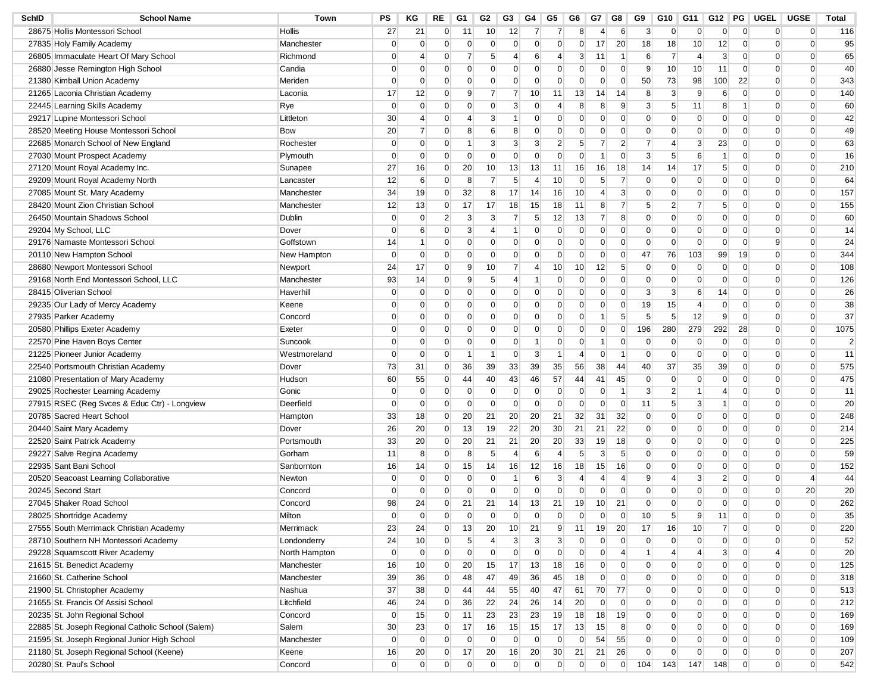| SchID | <b>School Name</b>                                | Town          | PS             | ΚG             | RE             | G1              | G2              | G3              | G4               | G5              | G6              | G7             | G8             | G9              | G10            | G11            | G12              | PG             | UGEL           | <b>UGSE</b>    | Total          |
|-------|---------------------------------------------------|---------------|----------------|----------------|----------------|-----------------|-----------------|-----------------|------------------|-----------------|-----------------|----------------|----------------|-----------------|----------------|----------------|------------------|----------------|----------------|----------------|----------------|
|       | 28675 Hollis Montessori School                    | Hollis        | 27             | 21             | 0              | 11              | 10              | 12              | $\overline{7}$   | 7               | 8               | 4              | 6              | 3               | $\overline{0}$ | $\overline{0}$ | $\overline{0}$   | $\overline{0}$ | $\mathbf 0$    | $\overline{0}$ | 116            |
|       | 27835 Holy Family Academy                         | Manchester    | $\overline{0}$ | $\overline{0}$ | $\overline{0}$ | $\overline{0}$  | $\mathbf{0}$    | $\overline{0}$  | $\overline{0}$   | $\Omega$        | $\overline{0}$  | 17             | 20             | 18              | 18             | 10             | 12               | $\mathbf 0$    | $\mathbf 0$    | $\overline{0}$ | 95             |
|       | 26805 Immaculate Heart Of Mary School             | Richmond      | $\Omega$       | 4              | $\overline{0}$ | 7               | 5               | 4               | 6                | 4               | 3               | 11             | -1             | 6               | $\overline{7}$ | $\overline{4}$ | 3                | $\overline{0}$ | $\mathbf 0$    | $\Omega$       | 65             |
|       | 26880 Jesse Remington High School                 | Candia        | $\Omega$       | 0              | 0              | $\Omega$        | $\mathbf 0$     | 0               | $\Omega$         | 0               | $\overline{0}$  | 0              | $\Omega$       | 9               | 10             | 10             | 11               | $\overline{0}$ | 0              | $\overline{0}$ | 40             |
|       | 21380 Kimball Union Academy                       | Meriden       | $\Omega$       | $\overline{0}$ | $\overline{0}$ | $\overline{0}$  | $\mathbf{0}$    | $\overline{0}$  | $\overline{0}$   | $\Omega$        | $\overline{0}$  | $\mathbf 0$    | $\overline{0}$ | 50              | 73             | 98             | 100              | 22             | 0              | $\Omega$       | 343            |
|       | 21265 Laconia Christian Academy                   | Laconia       | 17             | 12             | $\overline{0}$ | 9               | 7               | 7               | 10               | 11              | 13              | 14             | 14             | 8               | $\mathbf{3}$   | 9              | $6 \overline{6}$ | $\mathbf 0$    | $\mathbf 0$    | $\overline{0}$ | 140            |
|       | 22445 Learning Skills Academy                     | Rye           | $\Omega$       | $\overline{0}$ | 0              | 0               | $\mathbf 0$     | 3               | $\mathbf 0$      | 4               | 8               | 8              | 9              | 3               | 5              | 11             | 8                | -1             | 0              | $\overline{0}$ | 60             |
|       | 29217 Lupine Montessori School                    | Littleton     | 30             | 4              | $\overline{0}$ | 4               | 3               | 1               | $\mathbf 0$      | 0               | $\overline{0}$  | $\overline{0}$ | $\Omega$       | $\Omega$        | $\mathbf 0$    | $\overline{0}$ | $\overline{0}$   | $\mathbf 0$    | $\mathbf 0$    | $\overline{0}$ | 42             |
|       | 28520 Meeting House Montessori School             | <b>Bow</b>    | 20             | $\overline{7}$ | $\overline{0}$ | 8               | 6               | 8               | $\mathbf{0}$     | 0               | $\overline{0}$  | $\mathbf 0$    | $\Omega$       | $\overline{0}$  | $\overline{0}$ | $\overline{0}$ | $\overline{0}$   | $\overline{0}$ | $\mathbf 0$    | $\overline{0}$ | 49             |
|       | 22685 Monarch School of New England               | Rochester     | $\overline{0}$ | 0              | $\overline{0}$ | -1              | 3               | 3               | 3                | 2               | 5 <sup>5</sup>  | 7              | 2              | $\overline{7}$  | 4              | 3              | 23               | $\overline{0}$ | 0              | $\overline{0}$ | 63             |
|       | 27030 Mount Prospect Academy                      | Plymouth      | $\overline{0}$ | $\overline{0}$ | $\overline{0}$ | $\overline{0}$  | $\overline{0}$  | $\overline{0}$  | $\overline{0}$   | $\overline{0}$  | $\overline{0}$  | -1             | $\Omega$       | 3               | 5              | 6              | -1               | $\overline{0}$ | $\mathbf 0$    | $\overline{0}$ | 16             |
|       | 27120 Mount Royal Academy Inc.                    | Sunapee       | 27             | 16             | $\overline{0}$ | 20              | 10              | 13              | 13               | 11              | 16              | 16             | 18             | 14              | 14             | 17             | 5 <sup>1</sup>   | $\mathbf 0$    | $\mathbf 0$    | $\overline{0}$ | 210            |
|       | 29209 Mount Royal Academy North                   | Lancaster     | 12             | 6              | $\overline{0}$ | 8               | 7               | 5               | $\overline{4}$   | 10              | $\overline{0}$  | 5              | 7              | $\mathbf 0$     | $\overline{0}$ | $\mathbf 0$    | $\overline{0}$   | 0              | 0              | $\overline{0}$ | 64             |
|       | 27085 Mount St. Mary Academy                      | Manchester    | 34             | 19             | $\overline{0}$ | 32              | 8               | 17              | 14               | 16              | 10              | $\overline{4}$ | 3              | $\mathbf{0}$    | $\overline{0}$ | $\mathbf 0$    | $\overline{0}$   | $\mathbf 0$    | $\mathbf 0$    | $\overline{0}$ | 157            |
|       | 28420 Mount Zion Christian School                 | Manchester    | 12             | 13             | $\overline{0}$ | 17              | 17              | 18              | 15               | 18              | 11              | 8              |                | $5\overline{)}$ | $\mathbf{2}$   | 7              | 5                | $\overline{0}$ | $\mathbf 0$    | $\overline{0}$ | 155            |
|       | 26450 Mountain Shadows School                     | Dublin        | $\overline{0}$ | 0              | $\overline{2}$ | 3               | 3               | 7               | 5 <sup>5</sup>   | 12              | 13              | $\overline{7}$ | 8              | $\overline{0}$  | $\overline{0}$ | $\mathbf 0$    | $\overline{0}$   | $\overline{0}$ | 0              | $\overline{0}$ | 60             |
|       | 29204 My School, LLC                              | Dover         | $\overline{0}$ | 6              | $\overline{0}$ | 3               | 4               | 1               | $\overline{0}$   | $\mathbf{0}$    | $\overline{0}$  | $\overline{0}$ | $\Omega$       | $\mathbf{0}$    | $\mathbf 0$    | $\overline{0}$ | $\overline{0}$   | $\overline{0}$ | $\mathbf 0$    | $\Omega$       | 14             |
|       | 29176 Namaste Montessori School                   | Goffstown     | 14             | 1              | $\overline{0}$ | $\Omega$        | $\mathbf{0}$    | $\Omega$        | $\mathbf{0}$     | 0               | $\mathbf{0}$    | $\Omega$       | $\Omega$       | $\mathbf{0}$    | $\mathbf 0$    | $\overline{0}$ | $\overline{0}$   | $\overline{0}$ | 9              | $\Omega$       | 24             |
|       | 20110 New Hampton School                          | New Hampton   | $\Omega$       | $\overline{0}$ | $\overline{0}$ | 0               | $\mathbf 0$     | $\overline{0}$  | $\mathbf 0$      | 0               | $\mathbf 0$     | 0              | $\Omega$       | 47              | 76             | 103            | 99               | 19             | 0              | 0              | 344            |
|       | 28680 Newport Montessori School                   | Newport       | 24             | 17             | $\overline{0}$ | 9               | 10              | 7               | 4                | 10              | 10 <sup>°</sup> | 12             | 5              | $\overline{0}$  | $\mathbf 0$    | $\mathbf 0$    | $\overline{0}$   | $\mathbf 0$    | $\mathbf 0$    | $\overline{0}$ | 108            |
|       | 29168 North End Montessori School, LLC            | Manchester    | 93             | 14             | $\overline{0}$ | 9               | $5\overline{)}$ | 4               | -1               | 0               | $\overline{0}$  | 0              | $\Omega$       | $\overline{0}$  | $\overline{0}$ | $\overline{0}$ | $\overline{0}$   | $\overline{0}$ | $\mathbf 0$    | $\overline{0}$ | 126            |
|       | 28415 Oliverian School                            | Haverhill     | $\overline{0}$ | 0              | $\overline{0}$ | 0               | $\mathbf 0$     | 0               | $\overline{0}$   | 0               | $\overline{0}$  | 0              | $\Omega$       | 3               | 3              | 6              | 14               | $\overline{0}$ | 0              | 0              | 26             |
|       | 29235 Our Lady of Mercy Academy                   | Keene         | $\Omega$       | 0              | $\overline{0}$ | $\overline{0}$  | $\mathbf{0}$    | $\overline{0}$  | $\overline{0}$   | 0               | $\overline{0}$  | $\overline{0}$ | $\Omega$       | 19              | 15             | $\overline{4}$ | $\overline{0}$   | $\overline{0}$ | $\mathbf 0$    | $\Omega$       | 38             |
|       | 27935 Parker Academy                              | Concord       | $\Omega$       | 0              | $\overline{0}$ | $\Omega$        | $\mathbf 0$     | $\Omega$        | $\mathbf 0$      | 0               | $\overline{0}$  | -1             | 5              | $5\overline{)}$ | 5 <sup>5</sup> | 12             | 9                | $\overline{0}$ | $\mathbf 0$    | $\overline{0}$ | 37             |
|       | 20580 Phillips Exeter Academy                     | Exeter        | $\Omega$       | 0              | $\overline{0}$ | $\Omega$        | $\mathbf 0$     | 0               | $\mathbf 0$      | 0               | 0               | $\overline{0}$ | $\Omega$       | 196             | 280            | 279            | 292              | 28             | 0              | $\mathbf{0}$   | 1075           |
|       | 22570 Pine Haven Boys Center                      | Suncook       | $\overline{0}$ | $\overline{0}$ | $\overline{0}$ | 0               | $\mathbf 0$     | $\overline{0}$  | $\mathbf{1}$     | 0               | $\overline{0}$  | -1             | $\mathbf{0}$   | $\overline{0}$  | $\mathbf 0$    | $\mathbf 0$    | $\overline{0}$   | $\mathbf 0$    | 0              | $\overline{0}$ | $\overline{2}$ |
|       | 21225 Pioneer Junior Academy                      | Westmoreland  | $\overline{0}$ | $\overline{0}$ | $\overline{0}$ | -1              | 1               | 0               | $\mathbf{3}$     | 1               | $\overline{4}$  | $\Omega$       | -1             | $\overline{0}$  | $\mathbf 0$    | $\overline{0}$ | $\overline{0}$   | $\mathbf 0$    | $\mathbf 0$    | $\overline{0}$ | 11             |
|       | 22540 Portsmouth Christian Academy                | Dover         | 73             | 31             | $\overline{0}$ | 36              | 39              | 33              | 39               | 35              | 56              | 38             | 44             | 40              | 37             | 35             | 39               | $\overline{0}$ | 0              | 0              | 575            |
|       | 21080 Presentation of Mary Academy                | Hudson        | 60             | 55             | $\overline{0}$ | 44              | 40              | 43              | 46               | 57              | 44              | 41             | 45             | $\mathbf 0$     | $\mathbf 0$    | $\mathbf 0$    | $\overline{0}$   | $\overline{0}$ | $\mathbf 0$    | $\Omega$       | 475            |
|       | 29025 Rochester Learning Academy                  | Gonic         | $\Omega$       | 0              | $\overline{0}$ | $\overline{0}$  | $\mathbf 0$     | $\overline{0}$  | $\overline{0}$   | $\overline{0}$  | $\overline{0}$  | 0              | -1             | 3               | $\overline{2}$ | $\mathbf{1}$   | $\overline{4}$   | $\overline{0}$ | $\mathbf 0$    | $\overline{0}$ | 11             |
|       | 27915 RSEC (Reg Svces & Educ Ctr) - Longview      | Deerfield     | $\Omega$       | 0              | $\overline{0}$ | 0               | $\mathbf 0$     | $\overline{0}$  | $\mathbf 0$      | $\mathbf 0$     | $\mathbf 0$     | 0              | $\Omega$       | 11              | 5              | 3              | -1               | $\overline{0}$ | 0              | $\mathbf{0}$   | 20             |
|       | 20785 Sacred Heart School                         | Hampton       | 33             | 18             | $\overline{0}$ | 20              | 21              | 20              | 20               | 21              | 32              | 31             | 32             | $\mathbf 0$     | $\mathbf 0$    | $\mathbf 0$    | $\overline{0}$   | $\mathbf 0$    | $\mathbf 0$    | $\overline{0}$ | 248            |
|       | 20440 Saint Mary Academy                          | Dover         | 26             | 20             | $\overline{0}$ | 13              | 19              | 22              | 20               | 30 <sup>°</sup> | 21              | 21             | 22             | $\overline{0}$  | $\overline{0}$ | $\overline{0}$ | $\overline{0}$   | $\overline{0}$ | $\mathbf 0$    | $\overline{0}$ | 214            |
|       | 22520 Saint Patrick Academy                       | Portsmouth    | 33             | 20             | $\overline{0}$ | 20              | 21              | 21              | 20               | 20              | 33              | 19             | 18             | $\overline{0}$  | 0              | 0              | $\overline{0}$   | $\overline{0}$ | 0              | 0              | 225            |
|       | 29227 Salve Regina Academy                        | Gorham        | 11             | 8              | $\overline{0}$ | 8               | $5\overline{)}$ | $\overline{4}$  | $6 \overline{6}$ | 4               | 5 <sup>5</sup>  | 3              | 5              | $\overline{0}$  | $\mathbf 0$    | $\mathbf{0}$   | $\overline{0}$   | $\overline{0}$ | $\mathbf 0$    | $\overline{0}$ | 59             |
|       | 22935 Sant Bani School                            | Sanbornton    | 16             | 14             | $\overline{0}$ | 15              | 14              | 16              | 12               | 16              | 18              | 15             | 16             | $\overline{0}$  | $\overline{0}$ | $\overline{0}$ | $\overline{0}$   | $\overline{0}$ | $\mathbf 0$    | $\mathbf 0$    | 152            |
|       | 20520 Seacoast Learning Collaborative             | Newton        | $\Omega$       | $\overline{0}$ | $\overline{0}$ | 0               | $\mathbf 0$     | -1              | 6                | 3               | $\overline{4}$  | 4              | 4              | 9               | 4              | 3              | $\overline{2}$   | $\overline{0}$ | 0              | $\overline{4}$ | 44             |
|       | 20245 Second Start                                | Concord       | $\Omega$       | $\overline{0}$ | $\overline{0}$ | $\overline{0}$  | $\mathbf{0}$    | $\overline{0}$  | $\overline{0}$   | $\overline{0}$  | $\overline{0}$  | $\overline{0}$ | $\Omega$       | $\Omega$        | $\mathbf 0$    | $\mathbf{0}$   | $\overline{0}$   | $\mathbf 0$    | $\mathbf 0$    | 20             | 20             |
|       | 27045 Shaker Road School                          | Concord       | 98             | 24             | $\overline{0}$ | 21              | 21              | 14              | 13               | 21              | 19              | 10             | 21             | $\Omega$        | $\mathbf 0$    | $\mathbf{0}$   | $\overline{0}$   | $\overline{0}$ | $\mathbf 0$    | $\overline{0}$ | 262            |
|       | 28025 Shortridge Academy                          | Milton        | $\Omega$       | $\overline{0}$ | $\Omega$       | O               | $\Omega$        | $\Omega$        | $\Omega$         | $\Omega$        | $\Omega$        | $\Omega$       | $\Omega$       | 10              | 5              | 9              | 11               | $\Omega$       | $\Omega$       | $\Omega$       | 35             |
|       | 27555 South Merrimack Christian Academy           | Merrimack     | 23             | 24             | $\overline{0}$ | 13              | 20              | 10 <sup>°</sup> | 21               | 9               | 11              | 19             | 20             | 17              | 16             | 10             | $\overline{7}$   | $\overline{0}$ | $\mathbf 0$    | $\overline{0}$ | 220            |
|       | 28710 Southern NH Montessori Academy              | Londonderry   | 24             | 10             | $\overline{0}$ | 5 <sup>5</sup>  | $\overline{4}$  | 3 <sup>5</sup>  | $\mathbf{3}$     | 3 <sup>5</sup>  | $\overline{0}$  | $\overline{0}$ | $\overline{0}$ | $\overline{0}$  | $\overline{0}$ | $\overline{0}$ | $\overline{0}$   | $\overline{0}$ | $\overline{0}$ | $\overline{0}$ | 52             |
|       | 29228 Squamscott River Academy                    | North Hampton | $\overline{0}$ | $\overline{0}$ | $\overline{0}$ | $\overline{0}$  | $\overline{0}$  | $\overline{0}$  | $\overline{0}$   | $\overline{0}$  | $\overline{0}$  | $\overline{0}$ | $\overline{4}$ | $\mathbf{1}$    | $\overline{4}$ | $\overline{4}$ | 3 <sup>1</sup>   | $\overline{0}$ | 4              | $\mathbf 0$    | 20             |
|       | 21615 St. Benedict Academy                        | Manchester    | 16             | 10             | $\overline{0}$ | 20 <sup>2</sup> | 15              | 17              | 13               | 18              | 16              | $\overline{0}$ | $\mathbf 0$    | $\overline{0}$  | $\overline{0}$ | $\overline{0}$ | $\overline{0}$   | $\overline{0}$ | $\overline{0}$ | $\overline{0}$ | 125            |
|       | 21660 St. Catherine School                        | Manchester    | 39             | 36             | $\overline{0}$ | 48              | 47              | 49              | 36               | 45              | 18              | $\overline{0}$ | $\overline{0}$ | $\overline{0}$  | $\overline{0}$ | $\overline{0}$ | $\overline{0}$   | $\overline{0}$ | $\overline{0}$ | $\overline{0}$ | 318            |
|       | 21900 St. Christopher Academy                     | Nashua        | 37             | 38             | $\overline{0}$ | 44              | 44              | 55              | 40               | 47              | 61              | 70             | 77             | $\overline{0}$  | $\overline{0}$ | $\overline{0}$ | $\overline{0}$   | $\overline{0}$ | $\overline{0}$ | $\mathbf 0$    | 513            |
|       | 21655 St. Francis Of Assisi School                | Litchfield    | 46             | 24             | $\overline{0}$ | 36              | 22              | 24              | 26               | 14              | 20              | $\overline{0}$ | $\mathbf{0}$   | $\overline{0}$  | $\overline{0}$ | $\overline{0}$ | $\overline{0}$   | $\overline{0}$ | $\overline{0}$ | $\overline{0}$ | 212            |
|       | 20235 St. John Regional School                    | Concord       | 0              | 15             | $\overline{0}$ | 11              | 23              | 23              | 23               | 19              | 18              | 18             | 19             | $\overline{0}$  | $\overline{0}$ | $\overline{0}$ | $\overline{0}$   | $\overline{0}$ | $\overline{0}$ | $\overline{0}$ | 169            |
|       | 22885 St. Joseph Regional Catholic School (Salem) | Salem         | 30             | 23             | $\overline{0}$ | 17              | 16              | 15              | 15               | 17              | 13              | 15             | 8              | $\overline{0}$  | $\overline{0}$ | $\overline{0}$ | $\overline{0}$   | $\overline{0}$ | $\overline{0}$ | $\overline{0}$ | 169            |
|       | 21595 St. Joseph Regional Junior High School      | Manchester    | $\overline{0}$ | $\overline{0}$ | $\overline{0}$ | $\overline{0}$  | $\overline{0}$  | $\overline{0}$  | $\overline{0}$   | $\overline{0}$  | $\overline{0}$  | 54             | 55             | $\overline{0}$  | $\overline{0}$ | $\overline{0}$ | $\overline{0}$   | $\overline{0}$ | $\overline{0}$ | $\overline{0}$ | 109            |
|       | 21180 St. Joseph Regional School (Keene)          | Keene         | 16             | 20             | $\overline{0}$ | 17              | 20              | 16              | 20               | 30              | 21              | 21             | 26             | $\overline{0}$  | $\overline{0}$ | $\overline{0}$ | $\overline{0}$   | $\overline{0}$ | $\overline{0}$ | $\overline{0}$ | 207            |
|       | 20280 St. Paul's School                           |               | $\overline{0}$ | $\overline{0}$ | $\overline{0}$ | $\overline{0}$  | $\overline{0}$  | $\overline{0}$  | $\overline{0}$   | $\overline{0}$  | $\overline{0}$  | $\overline{0}$ | $\overline{0}$ |                 |                |                |                  | $\overline{0}$ | $\overline{0}$ | $\overline{0}$ | 542            |
|       |                                                   | Concord       |                |                |                |                 |                 |                 |                  |                 |                 |                |                | 104             | 143            | 147            | 148              |                |                |                |                |